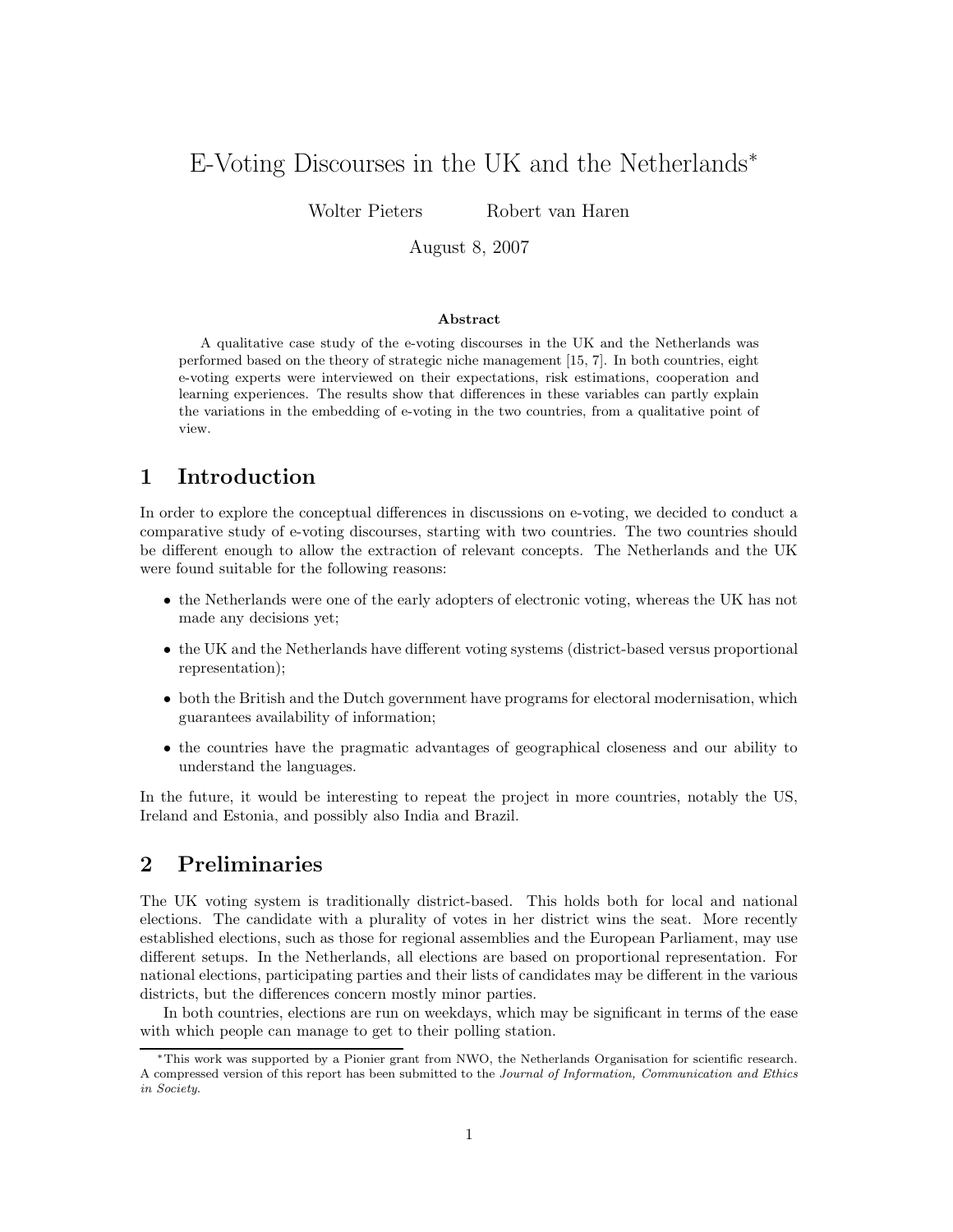# E-Voting Discourses in the UK and the Netherlands<sup>∗</sup>

Wolter Pieters Robert van Haren

August 8, 2007

#### Abstract

A qualitative case study of the e-voting discourses in the UK and the Netherlands was performed based on the theory of strategic niche management [15, 7]. In both countries, eight e-voting experts were interviewed on their expectations, risk estimations, cooperation and learning experiences. The results show that differences in these variables can partly explain the variations in the embedding of e-voting in the two countries, from a qualitative point of view.

## 1 Introduction

In order to explore the conceptual differences in discussions on e-voting, we decided to conduct a comparative study of e-voting discourses, starting with two countries. The two countries should be different enough to allow the extraction of relevant concepts. The Netherlands and the UK were found suitable for the following reasons:

- the Netherlands were one of the early adopters of electronic voting, whereas the UK has not made any decisions yet;
- the UK and the Netherlands have different voting systems (district-based versus proportional representation);
- both the British and the Dutch government have programs for electoral modernisation, which guarantees availability of information;
- the countries have the pragmatic advantages of geographical closeness and our ability to understand the languages.

In the future, it would be interesting to repeat the project in more countries, notably the US, Ireland and Estonia, and possibly also India and Brazil.

## 2 Preliminaries

The UK voting system is traditionally district-based. This holds both for local and national elections. The candidate with a plurality of votes in her district wins the seat. More recently established elections, such as those for regional assemblies and the European Parliament, may use different setups. In the Netherlands, all elections are based on proportional representation. For national elections, participating parties and their lists of candidates may be different in the various districts, but the differences concern mostly minor parties.

In both countries, elections are run on weekdays, which may be significant in terms of the ease with which people can manage to get to their polling station.

<sup>∗</sup>This work was supported by a Pionier grant from NWO, the Netherlands Organisation for scientific research. A compressed version of this report has been submitted to the Journal of Information, Communication and Ethics in Society.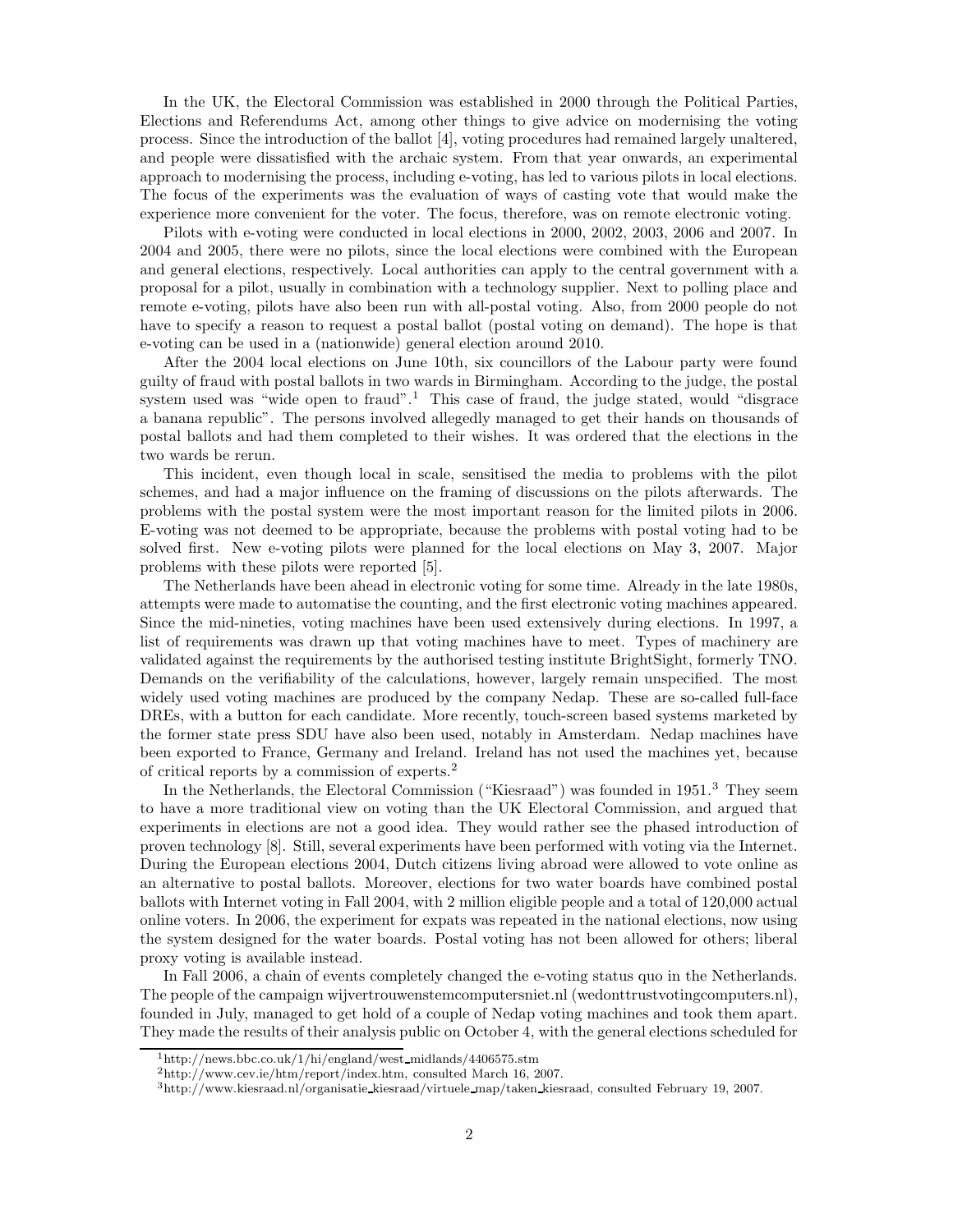In the UK, the Electoral Commission was established in 2000 through the Political Parties, Elections and Referendums Act, among other things to give advice on modernising the voting process. Since the introduction of the ballot [4], voting procedures had remained largely unaltered, and people were dissatisfied with the archaic system. From that year onwards, an experimental approach to modernising the process, including e-voting, has led to various pilots in local elections. The focus of the experiments was the evaluation of ways of casting vote that would make the experience more convenient for the voter. The focus, therefore, was on remote electronic voting.

Pilots with e-voting were conducted in local elections in 2000, 2002, 2003, 2006 and 2007. In 2004 and 2005, there were no pilots, since the local elections were combined with the European and general elections, respectively. Local authorities can apply to the central government with a proposal for a pilot, usually in combination with a technology supplier. Next to polling place and remote e-voting, pilots have also been run with all-postal voting. Also, from 2000 people do not have to specify a reason to request a postal ballot (postal voting on demand). The hope is that e-voting can be used in a (nationwide) general election around 2010.

After the 2004 local elections on June 10th, six councillors of the Labour party were found guilty of fraud with postal ballots in two wards in Birmingham. According to the judge, the postal system used was "wide open to fraud".<sup>1</sup> This case of fraud, the judge stated, would "disgrace" a banana republic". The persons involved allegedly managed to get their hands on thousands of postal ballots and had them completed to their wishes. It was ordered that the elections in the two wards be rerun.

This incident, even though local in scale, sensitised the media to problems with the pilot schemes, and had a major influence on the framing of discussions on the pilots afterwards. The problems with the postal system were the most important reason for the limited pilots in 2006. E-voting was not deemed to be appropriate, because the problems with postal voting had to be solved first. New e-voting pilots were planned for the local elections on May 3, 2007. Major problems with these pilots were reported [5].

The Netherlands have been ahead in electronic voting for some time. Already in the late 1980s, attempts were made to automatise the counting, and the first electronic voting machines appeared. Since the mid-nineties, voting machines have been used extensively during elections. In 1997, a list of requirements was drawn up that voting machines have to meet. Types of machinery are validated against the requirements by the authorised testing institute BrightSight, formerly TNO. Demands on the verifiability of the calculations, however, largely remain unspecified. The most widely used voting machines are produced by the company Nedap. These are so-called full-face DREs, with a button for each candidate. More recently, touch-screen based systems marketed by the former state press SDU have also been used, notably in Amsterdam. Nedap machines have been exported to France, Germany and Ireland. Ireland has not used the machines yet, because of critical reports by a commission of experts.<sup>2</sup>

In the Netherlands, the Electoral Commission ("Kiesraad") was founded in 1951.<sup>3</sup> They seem to have a more traditional view on voting than the UK Electoral Commission, and argued that experiments in elections are not a good idea. They would rather see the phased introduction of proven technology [8]. Still, several experiments have been performed with voting via the Internet. During the European elections 2004, Dutch citizens living abroad were allowed to vote online as an alternative to postal ballots. Moreover, elections for two water boards have combined postal ballots with Internet voting in Fall 2004, with 2 million eligible people and a total of 120,000 actual online voters. In 2006, the experiment for expats was repeated in the national elections, now using the system designed for the water boards. Postal voting has not been allowed for others; liberal proxy voting is available instead.

In Fall 2006, a chain of events completely changed the e-voting status quo in the Netherlands. The people of the campaign wijvertrouwenstemcomputersniet.nl (wedonttrustvotingcomputers.nl), founded in July, managed to get hold of a couple of Nedap voting machines and took them apart. They made the results of their analysis public on October 4, with the general elections scheduled for

 $1<sup>1</sup>$ http://news.bbc.co.uk/1/hi/england/west\_midlands/4406575.stm

<sup>2</sup>http://www.cev.ie/htm/report/index.htm, consulted March 16, 2007.

<sup>3</sup>http://www.kiesraad.nl/organisatie kiesraad/virtuele map/taken kiesraad, consulted February 19, 2007.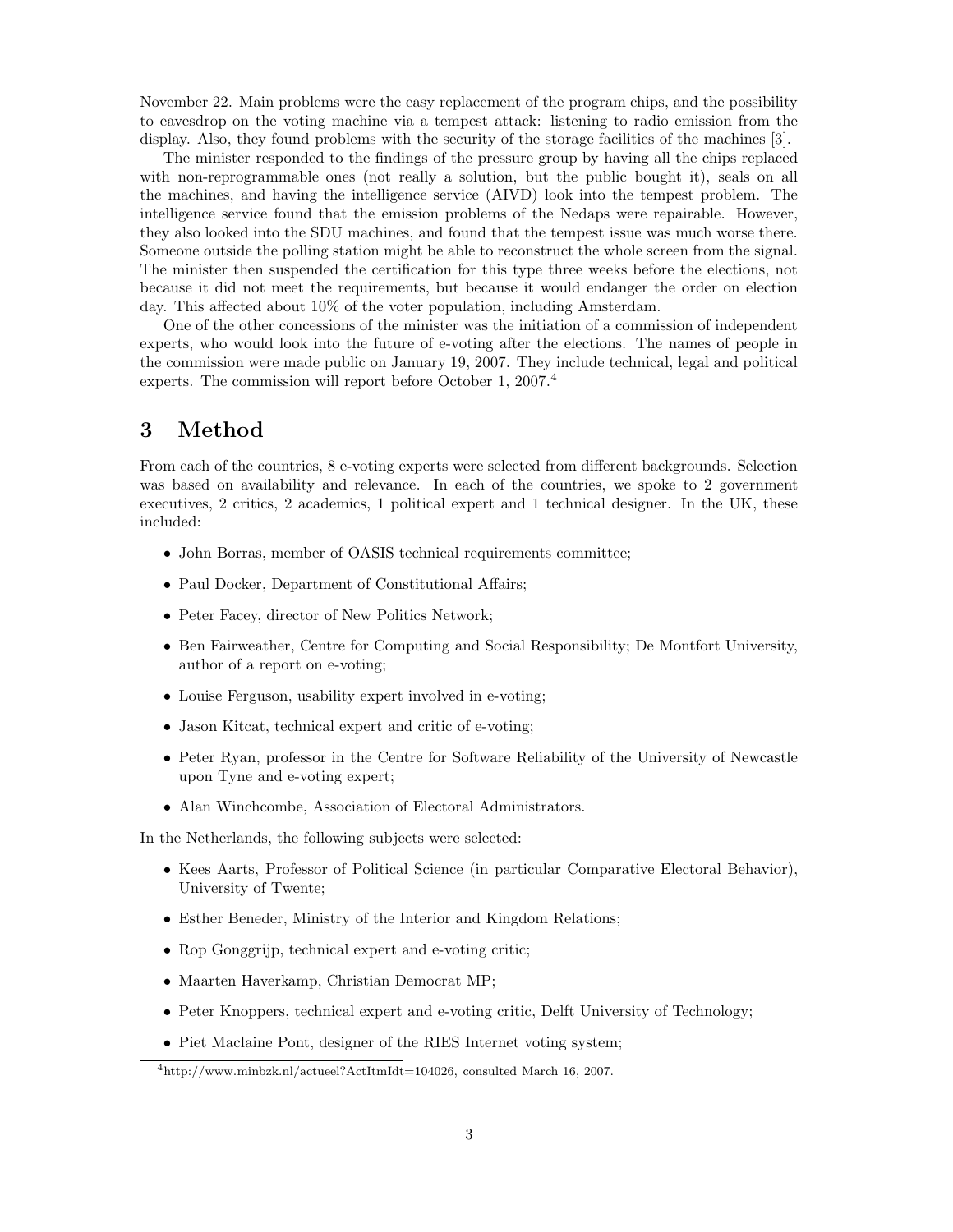November 22. Main problems were the easy replacement of the program chips, and the possibility to eavesdrop on the voting machine via a tempest attack: listening to radio emission from the display. Also, they found problems with the security of the storage facilities of the machines [3].

The minister responded to the findings of the pressure group by having all the chips replaced with non-reprogrammable ones (not really a solution, but the public bought it), seals on all the machines, and having the intelligence service (AIVD) look into the tempest problem. The intelligence service found that the emission problems of the Nedaps were repairable. However, they also looked into the SDU machines, and found that the tempest issue was much worse there. Someone outside the polling station might be able to reconstruct the whole screen from the signal. The minister then suspended the certification for this type three weeks before the elections, not because it did not meet the requirements, but because it would endanger the order on election day. This affected about 10% of the voter population, including Amsterdam.

One of the other concessions of the minister was the initiation of a commission of independent experts, who would look into the future of e-voting after the elections. The names of people in the commission were made public on January 19, 2007. They include technical, legal and political experts. The commission will report before October 1, 2007.<sup>4</sup>

## 3 Method

From each of the countries, 8 e-voting experts were selected from different backgrounds. Selection was based on availability and relevance. In each of the countries, we spoke to 2 government executives, 2 critics, 2 academics, 1 political expert and 1 technical designer. In the UK, these included:

- John Borras, member of OASIS technical requirements committee;
- Paul Docker, Department of Constitutional Affairs;
- Peter Facey, director of New Politics Network;
- Ben Fairweather, Centre for Computing and Social Responsibility; De Montfort University, author of a report on e-voting;
- Louise Ferguson, usability expert involved in e-voting;
- Jason Kitcat, technical expert and critic of e-voting;
- Peter Ryan, professor in the Centre for Software Reliability of the University of Newcastle upon Tyne and e-voting expert;
- Alan Winchcombe, Association of Electoral Administrators.

In the Netherlands, the following subjects were selected:

- Kees Aarts, Professor of Political Science (in particular Comparative Electoral Behavior), University of Twente;
- Esther Beneder, Ministry of the Interior and Kingdom Relations;
- Rop Gonggrijp, technical expert and e-voting critic;
- Maarten Haverkamp, Christian Democrat MP;
- Peter Knoppers, technical expert and e-voting critic, Delft University of Technology;
- Piet Maclaine Pont, designer of the RIES Internet voting system;

<sup>4</sup>http://www.minbzk.nl/actueel?ActItmIdt=104026, consulted March 16, 2007.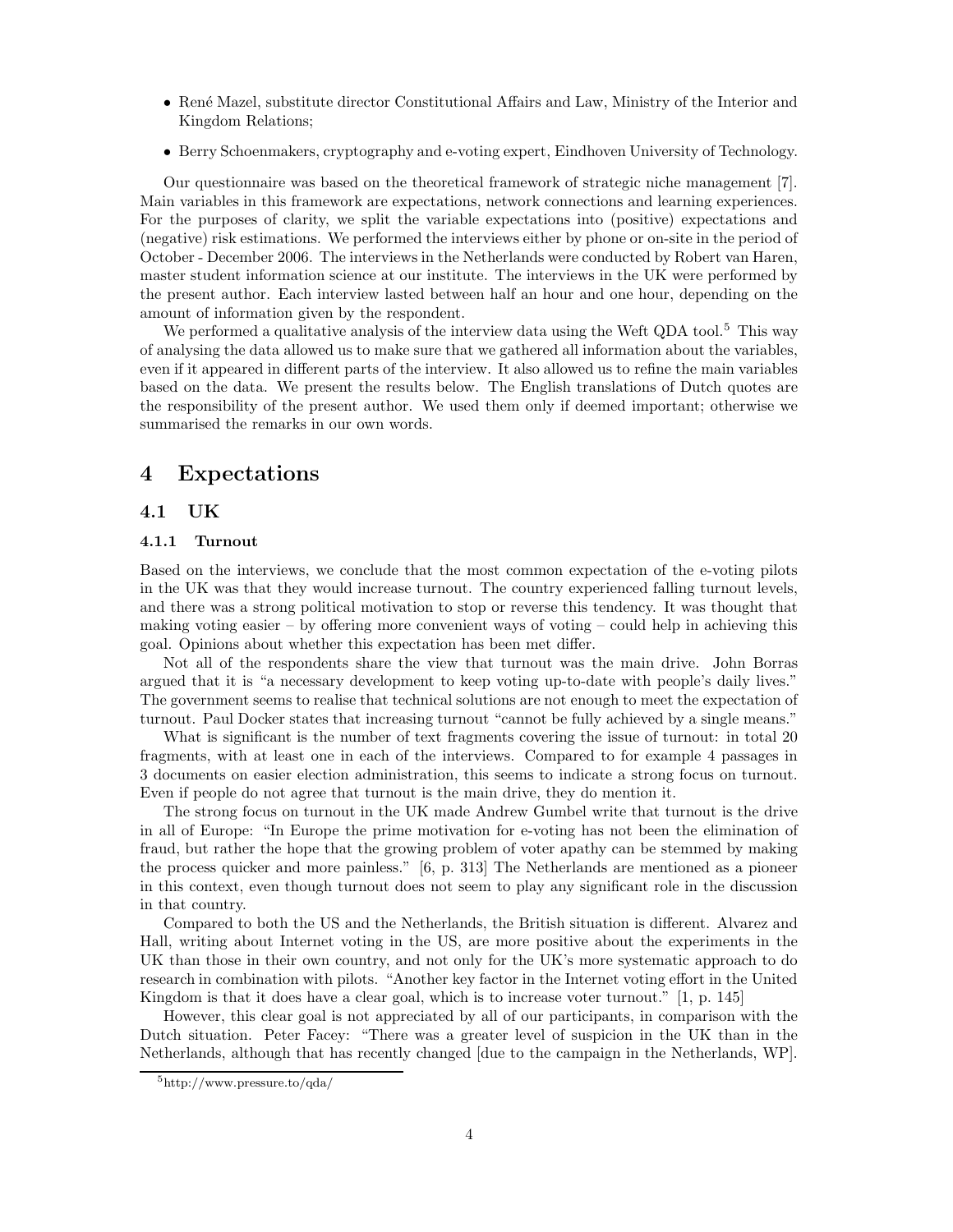- René Mazel, substitute director Constitutional Affairs and Law, Ministry of the Interior and Kingdom Relations;
- Berry Schoenmakers, cryptography and e-voting expert, Eindhoven University of Technology.

Our questionnaire was based on the theoretical framework of strategic niche management [7]. Main variables in this framework are expectations, network connections and learning experiences. For the purposes of clarity, we split the variable expectations into (positive) expectations and (negative) risk estimations. We performed the interviews either by phone or on-site in the period of October - December 2006. The interviews in the Netherlands were conducted by Robert van Haren, master student information science at our institute. The interviews in the UK were performed by the present author. Each interview lasted between half an hour and one hour, depending on the amount of information given by the respondent.

We performed a qualitative analysis of the interview data using the Weft QDA tool.<sup>5</sup> This way of analysing the data allowed us to make sure that we gathered all information about the variables, even if it appeared in different parts of the interview. It also allowed us to refine the main variables based on the data. We present the results below. The English translations of Dutch quotes are the responsibility of the present author. We used them only if deemed important; otherwise we summarised the remarks in our own words.

## 4 Expectations

## 4.1 UK

#### 4.1.1 Turnout

Based on the interviews, we conclude that the most common expectation of the e-voting pilots in the UK was that they would increase turnout. The country experienced falling turnout levels, and there was a strong political motivation to stop or reverse this tendency. It was thought that making voting easier – by offering more convenient ways of voting – could help in achieving this goal. Opinions about whether this expectation has been met differ.

Not all of the respondents share the view that turnout was the main drive. John Borras argued that it is "a necessary development to keep voting up-to-date with people's daily lives." The government seems to realise that technical solutions are not enough to meet the expectation of turnout. Paul Docker states that increasing turnout "cannot be fully achieved by a single means."

What is significant is the number of text fragments covering the issue of turnout: in total 20 fragments, with at least one in each of the interviews. Compared to for example 4 passages in 3 documents on easier election administration, this seems to indicate a strong focus on turnout. Even if people do not agree that turnout is the main drive, they do mention it.

The strong focus on turnout in the UK made Andrew Gumbel write that turnout is the drive in all of Europe: "In Europe the prime motivation for e-voting has not been the elimination of fraud, but rather the hope that the growing problem of voter apathy can be stemmed by making the process quicker and more painless." [6, p. 313] The Netherlands are mentioned as a pioneer in this context, even though turnout does not seem to play any significant role in the discussion in that country.

Compared to both the US and the Netherlands, the British situation is different. Alvarez and Hall, writing about Internet voting in the US, are more positive about the experiments in the UK than those in their own country, and not only for the UK's more systematic approach to do research in combination with pilots. "Another key factor in the Internet voting effort in the United Kingdom is that it does have a clear goal, which is to increase voter turnout." [1, p. 145]

However, this clear goal is not appreciated by all of our participants, in comparison with the Dutch situation. Peter Facey: "There was a greater level of suspicion in the UK than in the Netherlands, although that has recently changed [due to the campaign in the Netherlands, WP].

<sup>5</sup>http://www.pressure.to/qda/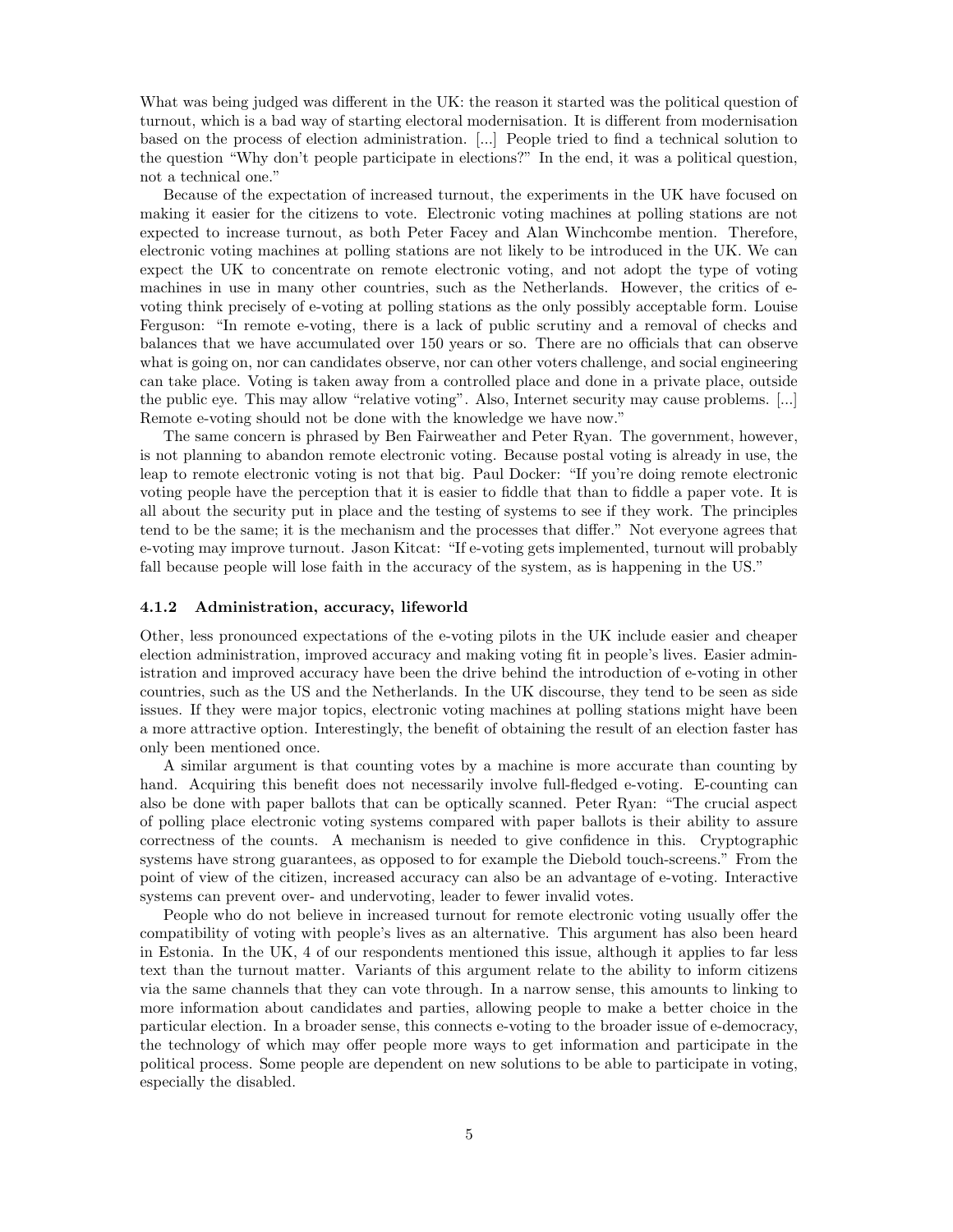What was being judged was different in the UK: the reason it started was the political question of turnout, which is a bad way of starting electoral modernisation. It is different from modernisation based on the process of election administration. [...] People tried to find a technical solution to the question "Why don't people participate in elections?" In the end, it was a political question, not a technical one."

Because of the expectation of increased turnout, the experiments in the UK have focused on making it easier for the citizens to vote. Electronic voting machines at polling stations are not expected to increase turnout, as both Peter Facey and Alan Winchcombe mention. Therefore, electronic voting machines at polling stations are not likely to be introduced in the UK. We can expect the UK to concentrate on remote electronic voting, and not adopt the type of voting machines in use in many other countries, such as the Netherlands. However, the critics of evoting think precisely of e-voting at polling stations as the only possibly acceptable form. Louise Ferguson: "In remote e-voting, there is a lack of public scrutiny and a removal of checks and balances that we have accumulated over 150 years or so. There are no officials that can observe what is going on, nor can candidates observe, nor can other voters challenge, and social engineering can take place. Voting is taken away from a controlled place and done in a private place, outside the public eye. This may allow "relative voting". Also, Internet security may cause problems. [...] Remote e-voting should not be done with the knowledge we have now."

The same concern is phrased by Ben Fairweather and Peter Ryan. The government, however, is not planning to abandon remote electronic voting. Because postal voting is already in use, the leap to remote electronic voting is not that big. Paul Docker: "If you're doing remote electronic voting people have the perception that it is easier to fiddle that than to fiddle a paper vote. It is all about the security put in place and the testing of systems to see if they work. The principles tend to be the same; it is the mechanism and the processes that differ." Not everyone agrees that e-voting may improve turnout. Jason Kitcat: "If e-voting gets implemented, turnout will probably fall because people will lose faith in the accuracy of the system, as is happening in the US."

#### 4.1.2 Administration, accuracy, lifeworld

Other, less pronounced expectations of the e-voting pilots in the UK include easier and cheaper election administration, improved accuracy and making voting fit in people's lives. Easier administration and improved accuracy have been the drive behind the introduction of e-voting in other countries, such as the US and the Netherlands. In the UK discourse, they tend to be seen as side issues. If they were major topics, electronic voting machines at polling stations might have been a more attractive option. Interestingly, the benefit of obtaining the result of an election faster has only been mentioned once.

A similar argument is that counting votes by a machine is more accurate than counting by hand. Acquiring this benefit does not necessarily involve full-fledged e-voting. E-counting can also be done with paper ballots that can be optically scanned. Peter Ryan: "The crucial aspect of polling place electronic voting systems compared with paper ballots is their ability to assure correctness of the counts. A mechanism is needed to give confidence in this. Cryptographic systems have strong guarantees, as opposed to for example the Diebold touch-screens." From the point of view of the citizen, increased accuracy can also be an advantage of e-voting. Interactive systems can prevent over- and undervoting, leader to fewer invalid votes.

People who do not believe in increased turnout for remote electronic voting usually offer the compatibility of voting with people's lives as an alternative. This argument has also been heard in Estonia. In the UK, 4 of our respondents mentioned this issue, although it applies to far less text than the turnout matter. Variants of this argument relate to the ability to inform citizens via the same channels that they can vote through. In a narrow sense, this amounts to linking to more information about candidates and parties, allowing people to make a better choice in the particular election. In a broader sense, this connects e-voting to the broader issue of e-democracy, the technology of which may offer people more ways to get information and participate in the political process. Some people are dependent on new solutions to be able to participate in voting, especially the disabled.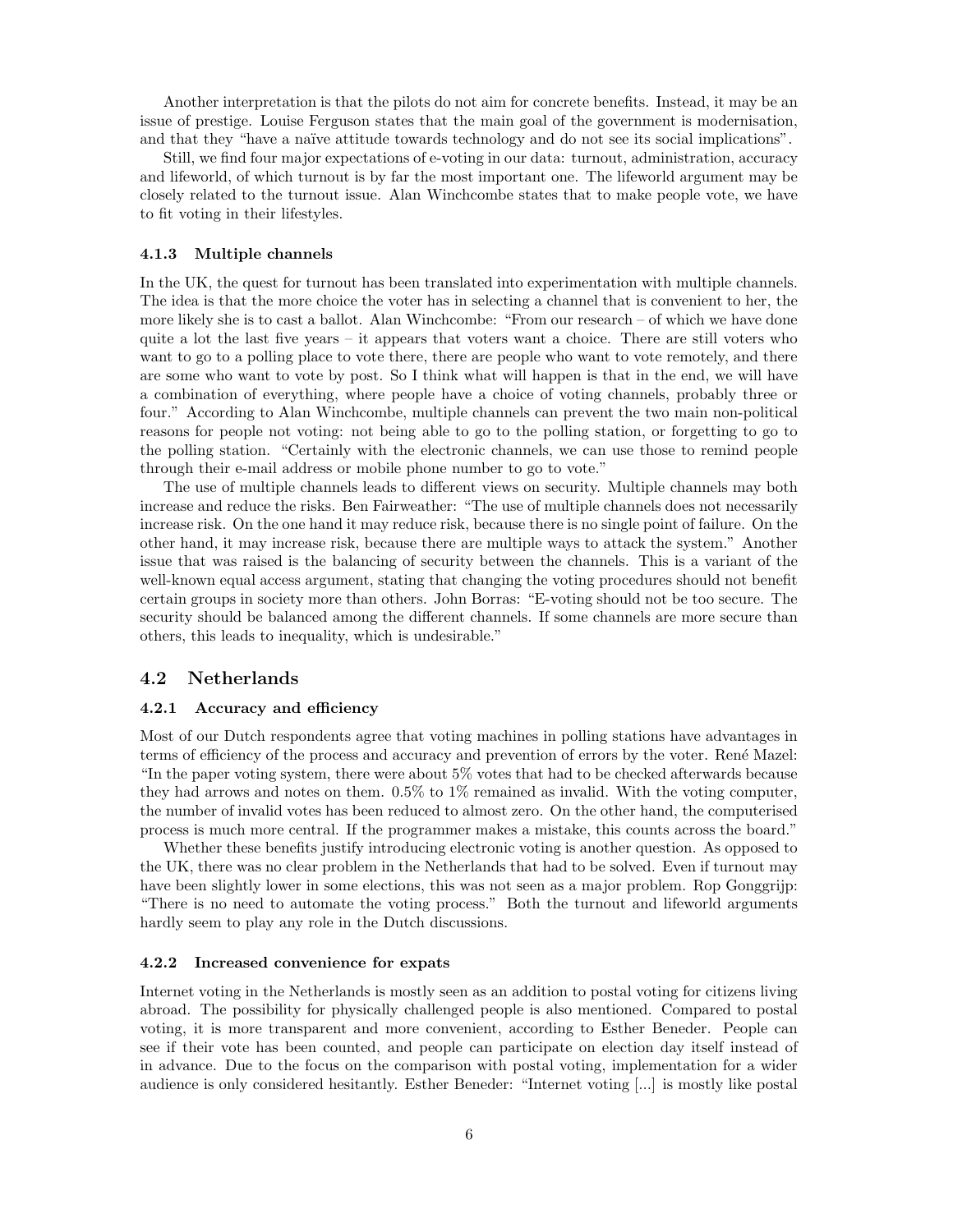Another interpretation is that the pilots do not aim for concrete benefits. Instead, it may be an issue of prestige. Louise Ferguson states that the main goal of the government is modernisation, and that they "have a naïve attitude towards technology and do not see its social implications".

Still, we find four major expectations of e-voting in our data: turnout, administration, accuracy and lifeworld, of which turnout is by far the most important one. The lifeworld argument may be closely related to the turnout issue. Alan Winchcombe states that to make people vote, we have to fit voting in their lifestyles.

### 4.1.3 Multiple channels

In the UK, the quest for turnout has been translated into experimentation with multiple channels. The idea is that the more choice the voter has in selecting a channel that is convenient to her, the more likely she is to cast a ballot. Alan Winchcombe: "From our research – of which we have done quite a lot the last five years – it appears that voters want a choice. There are still voters who want to go to a polling place to vote there, there are people who want to vote remotely, and there are some who want to vote by post. So I think what will happen is that in the end, we will have a combination of everything, where people have a choice of voting channels, probably three or four." According to Alan Winchcombe, multiple channels can prevent the two main non-political reasons for people not voting: not being able to go to the polling station, or forgetting to go to the polling station. "Certainly with the electronic channels, we can use those to remind people through their e-mail address or mobile phone number to go to vote."

The use of multiple channels leads to different views on security. Multiple channels may both increase and reduce the risks. Ben Fairweather: "The use of multiple channels does not necessarily increase risk. On the one hand it may reduce risk, because there is no single point of failure. On the other hand, it may increase risk, because there are multiple ways to attack the system." Another issue that was raised is the balancing of security between the channels. This is a variant of the well-known equal access argument, stating that changing the voting procedures should not benefit certain groups in society more than others. John Borras: "E-voting should not be too secure. The security should be balanced among the different channels. If some channels are more secure than others, this leads to inequality, which is undesirable."

### 4.2 Netherlands

#### 4.2.1 Accuracy and efficiency

Most of our Dutch respondents agree that voting machines in polling stations have advantages in terms of efficiency of the process and accuracy and prevention of errors by the voter. René Mazel: "In the paper voting system, there were about 5% votes that had to be checked afterwards because they had arrows and notes on them. 0.5% to 1% remained as invalid. With the voting computer, the number of invalid votes has been reduced to almost zero. On the other hand, the computerised process is much more central. If the programmer makes a mistake, this counts across the board."

Whether these benefits justify introducing electronic voting is another question. As opposed to the UK, there was no clear problem in the Netherlands that had to be solved. Even if turnout may have been slightly lower in some elections, this was not seen as a major problem. Rop Gonggrijp: "There is no need to automate the voting process." Both the turnout and lifeworld arguments hardly seem to play any role in the Dutch discussions.

#### 4.2.2 Increased convenience for expats

Internet voting in the Netherlands is mostly seen as an addition to postal voting for citizens living abroad. The possibility for physically challenged people is also mentioned. Compared to postal voting, it is more transparent and more convenient, according to Esther Beneder. People can see if their vote has been counted, and people can participate on election day itself instead of in advance. Due to the focus on the comparison with postal voting, implementation for a wider audience is only considered hesitantly. Esther Beneder: "Internet voting [...] is mostly like postal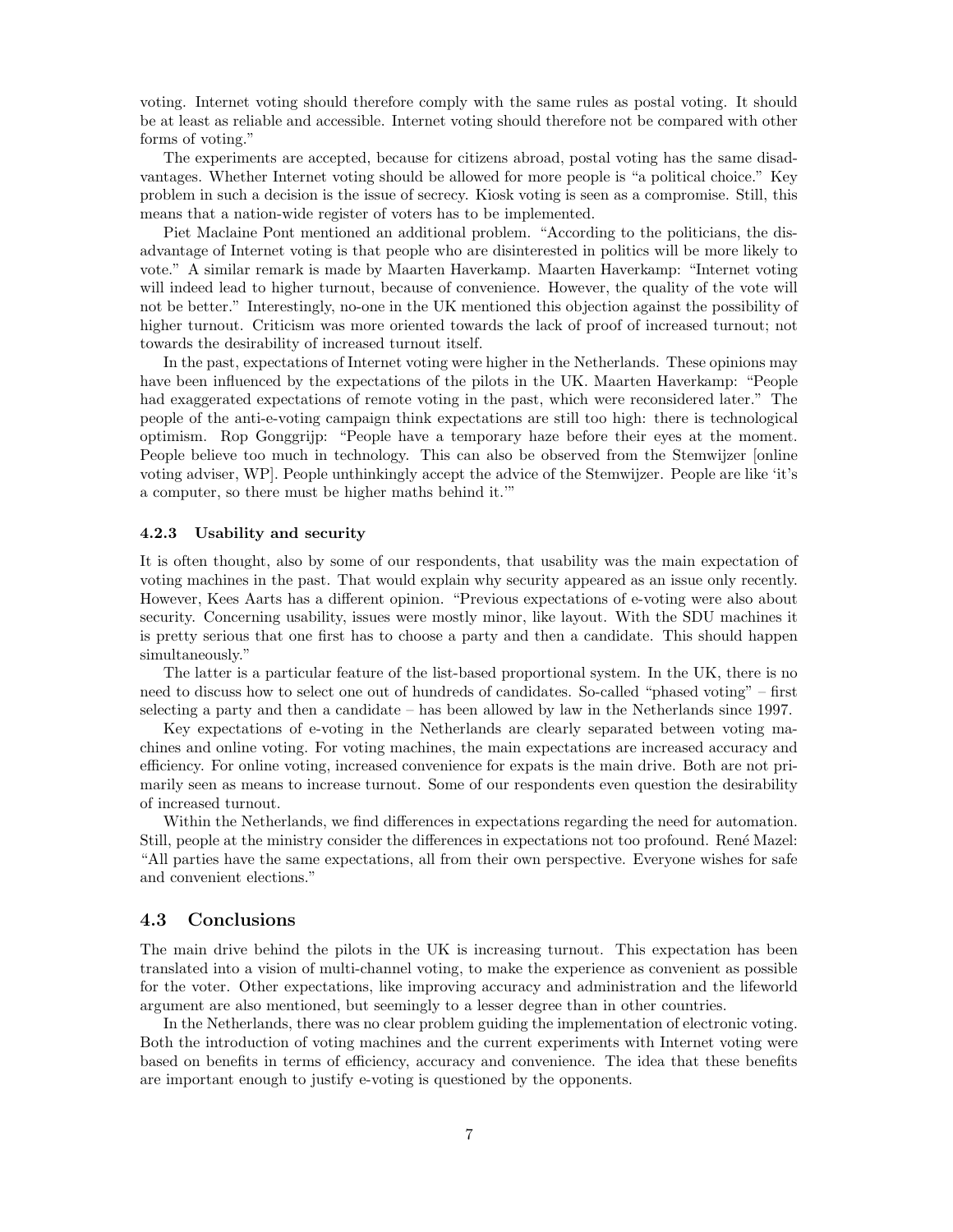voting. Internet voting should therefore comply with the same rules as postal voting. It should be at least as reliable and accessible. Internet voting should therefore not be compared with other forms of voting."

The experiments are accepted, because for citizens abroad, postal voting has the same disadvantages. Whether Internet voting should be allowed for more people is "a political choice." Key problem in such a decision is the issue of secrecy. Kiosk voting is seen as a compromise. Still, this means that a nation-wide register of voters has to be implemented.

Piet Maclaine Pont mentioned an additional problem. "According to the politicians, the disadvantage of Internet voting is that people who are disinterested in politics will be more likely to vote." A similar remark is made by Maarten Haverkamp. Maarten Haverkamp: "Internet voting will indeed lead to higher turnout, because of convenience. However, the quality of the vote will not be better." Interestingly, no-one in the UK mentioned this objection against the possibility of higher turnout. Criticism was more oriented towards the lack of proof of increased turnout; not towards the desirability of increased turnout itself.

In the past, expectations of Internet voting were higher in the Netherlands. These opinions may have been influenced by the expectations of the pilots in the UK. Maarten Haverkamp: "People had exaggerated expectations of remote voting in the past, which were reconsidered later." The people of the anti-e-voting campaign think expectations are still too high: there is technological optimism. Rop Gonggrijp: "People have a temporary haze before their eyes at the moment. People believe too much in technology. This can also be observed from the Stemwijzer [online voting adviser, WP]. People unthinkingly accept the advice of the Stemwijzer. People are like 'it's a computer, so there must be higher maths behind it.'"

#### 4.2.3 Usability and security

It is often thought, also by some of our respondents, that usability was the main expectation of voting machines in the past. That would explain why security appeared as an issue only recently. However, Kees Aarts has a different opinion. "Previous expectations of e-voting were also about security. Concerning usability, issues were mostly minor, like layout. With the SDU machines it is pretty serious that one first has to choose a party and then a candidate. This should happen simultaneously."

The latter is a particular feature of the list-based proportional system. In the UK, there is no need to discuss how to select one out of hundreds of candidates. So-called "phased voting" – first selecting a party and then a candidate – has been allowed by law in the Netherlands since 1997.

Key expectations of e-voting in the Netherlands are clearly separated between voting machines and online voting. For voting machines, the main expectations are increased accuracy and efficiency. For online voting, increased convenience for expats is the main drive. Both are not primarily seen as means to increase turnout. Some of our respondents even question the desirability of increased turnout.

Within the Netherlands, we find differences in expectations regarding the need for automation. Still, people at the ministry consider the differences in expectations not too profound. René Mazel: "All parties have the same expectations, all from their own perspective. Everyone wishes for safe and convenient elections."

## 4.3 Conclusions

The main drive behind the pilots in the UK is increasing turnout. This expectation has been translated into a vision of multi-channel voting, to make the experience as convenient as possible for the voter. Other expectations, like improving accuracy and administration and the lifeworld argument are also mentioned, but seemingly to a lesser degree than in other countries.

In the Netherlands, there was no clear problem guiding the implementation of electronic voting. Both the introduction of voting machines and the current experiments with Internet voting were based on benefits in terms of efficiency, accuracy and convenience. The idea that these benefits are important enough to justify e-voting is questioned by the opponents.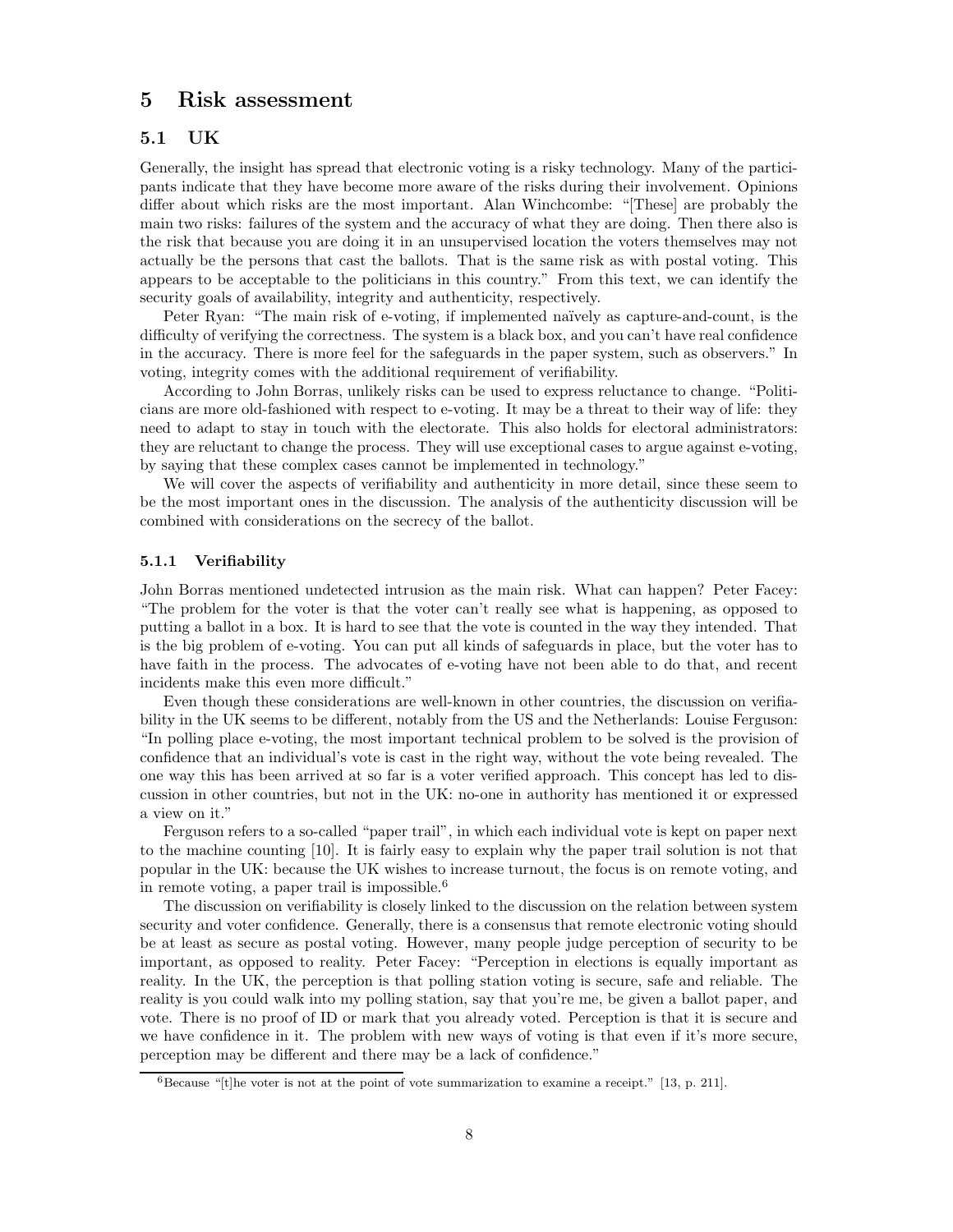## 5 Risk assessment

## 5.1 UK

Generally, the insight has spread that electronic voting is a risky technology. Many of the participants indicate that they have become more aware of the risks during their involvement. Opinions differ about which risks are the most important. Alan Winchcombe: "[These] are probably the main two risks: failures of the system and the accuracy of what they are doing. Then there also is the risk that because you are doing it in an unsupervised location the voters themselves may not actually be the persons that cast the ballots. That is the same risk as with postal voting. This appears to be acceptable to the politicians in this country." From this text, we can identify the security goals of availability, integrity and authenticity, respectively.

Peter Ryan: "The main risk of e-voting, if implemented naïvely as capture-and-count, is the difficulty of verifying the correctness. The system is a black box, and you can't have real confidence in the accuracy. There is more feel for the safeguards in the paper system, such as observers." In voting, integrity comes with the additional requirement of verifiability.

According to John Borras, unlikely risks can be used to express reluctance to change. "Politicians are more old-fashioned with respect to e-voting. It may be a threat to their way of life: they need to adapt to stay in touch with the electorate. This also holds for electoral administrators: they are reluctant to change the process. They will use exceptional cases to argue against e-voting, by saying that these complex cases cannot be implemented in technology."

We will cover the aspects of verifiability and authenticity in more detail, since these seem to be the most important ones in the discussion. The analysis of the authenticity discussion will be combined with considerations on the secrecy of the ballot.

## 5.1.1 Verifiability

John Borras mentioned undetected intrusion as the main risk. What can happen? Peter Facey: "The problem for the voter is that the voter can't really see what is happening, as opposed to putting a ballot in a box. It is hard to see that the vote is counted in the way they intended. That is the big problem of e-voting. You can put all kinds of safeguards in place, but the voter has to have faith in the process. The advocates of e-voting have not been able to do that, and recent incidents make this even more difficult."

Even though these considerations are well-known in other countries, the discussion on verifiability in the UK seems to be different, notably from the US and the Netherlands: Louise Ferguson: "In polling place e-voting, the most important technical problem to be solved is the provision of confidence that an individual's vote is cast in the right way, without the vote being revealed. The one way this has been arrived at so far is a voter verified approach. This concept has led to discussion in other countries, but not in the UK: no-one in authority has mentioned it or expressed a view on it."

Ferguson refers to a so-called "paper trail", in which each individual vote is kept on paper next to the machine counting [10]. It is fairly easy to explain why the paper trail solution is not that popular in the UK: because the UK wishes to increase turnout, the focus is on remote voting, and in remote voting, a paper trail is impossible.<sup>6</sup>

The discussion on verifiability is closely linked to the discussion on the relation between system security and voter confidence. Generally, there is a consensus that remote electronic voting should be at least as secure as postal voting. However, many people judge perception of security to be important, as opposed to reality. Peter Facey: "Perception in elections is equally important as reality. In the UK, the perception is that polling station voting is secure, safe and reliable. The reality is you could walk into my polling station, say that you're me, be given a ballot paper, and vote. There is no proof of ID or mark that you already voted. Perception is that it is secure and we have confidence in it. The problem with new ways of voting is that even if it's more secure, perception may be different and there may be a lack of confidence."

 $6$ Because "[t]he voter is not at the point of vote summarization to examine a receipt." [13, p. 211].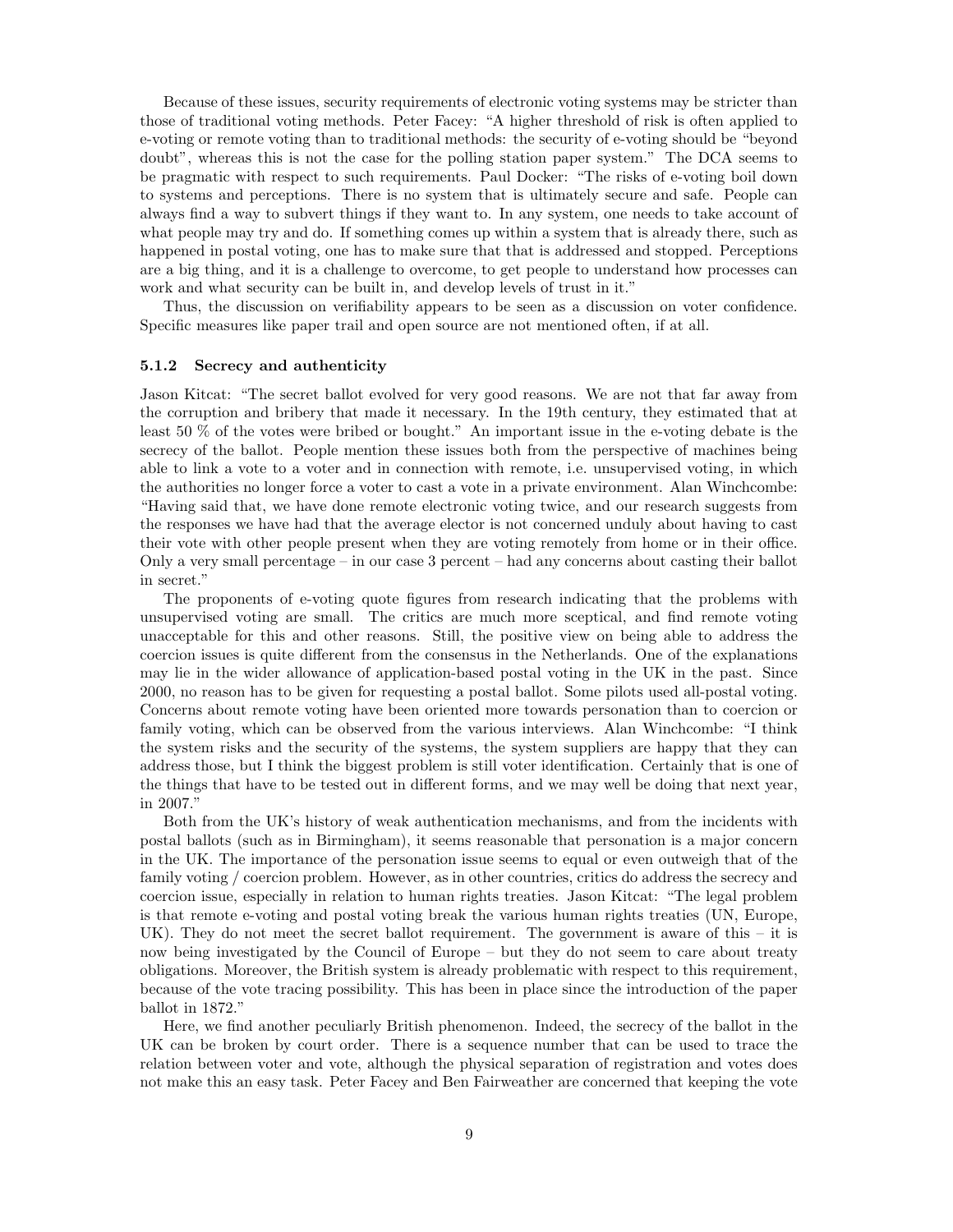Because of these issues, security requirements of electronic voting systems may be stricter than those of traditional voting methods. Peter Facey: "A higher threshold of risk is often applied to e-voting or remote voting than to traditional methods: the security of e-voting should be "beyond doubt", whereas this is not the case for the polling station paper system." The DCA seems to be pragmatic with respect to such requirements. Paul Docker: "The risks of e-voting boil down to systems and perceptions. There is no system that is ultimately secure and safe. People can always find a way to subvert things if they want to. In any system, one needs to take account of what people may try and do. If something comes up within a system that is already there, such as happened in postal voting, one has to make sure that that is addressed and stopped. Perceptions are a big thing, and it is a challenge to overcome, to get people to understand how processes can work and what security can be built in, and develop levels of trust in it."

Thus, the discussion on verifiability appears to be seen as a discussion on voter confidence. Specific measures like paper trail and open source are not mentioned often, if at all.

### 5.1.2 Secrecy and authenticity

Jason Kitcat: "The secret ballot evolved for very good reasons. We are not that far away from the corruption and bribery that made it necessary. In the 19th century, they estimated that at least 50 % of the votes were bribed or bought." An important issue in the e-voting debate is the secrecy of the ballot. People mention these issues both from the perspective of machines being able to link a vote to a voter and in connection with remote, i.e. unsupervised voting, in which the authorities no longer force a voter to cast a vote in a private environment. Alan Winchcombe: "Having said that, we have done remote electronic voting twice, and our research suggests from the responses we have had that the average elector is not concerned unduly about having to cast their vote with other people present when they are voting remotely from home or in their office. Only a very small percentage – in our case 3 percent – had any concerns about casting their ballot in secret."

The proponents of e-voting quote figures from research indicating that the problems with unsupervised voting are small. The critics are much more sceptical, and find remote voting unacceptable for this and other reasons. Still, the positive view on being able to address the coercion issues is quite different from the consensus in the Netherlands. One of the explanations may lie in the wider allowance of application-based postal voting in the UK in the past. Since 2000, no reason has to be given for requesting a postal ballot. Some pilots used all-postal voting. Concerns about remote voting have been oriented more towards personation than to coercion or family voting, which can be observed from the various interviews. Alan Winchcombe: "I think the system risks and the security of the systems, the system suppliers are happy that they can address those, but I think the biggest problem is still voter identification. Certainly that is one of the things that have to be tested out in different forms, and we may well be doing that next year, in 2007."

Both from the UK's history of weak authentication mechanisms, and from the incidents with postal ballots (such as in Birmingham), it seems reasonable that personation is a major concern in the UK. The importance of the personation issue seems to equal or even outweigh that of the family voting / coercion problem. However, as in other countries, critics do address the secrecy and coercion issue, especially in relation to human rights treaties. Jason Kitcat: "The legal problem is that remote e-voting and postal voting break the various human rights treaties (UN, Europe, UK). They do not meet the secret ballot requirement. The government is aware of this – it is now being investigated by the Council of Europe – but they do not seem to care about treaty obligations. Moreover, the British system is already problematic with respect to this requirement, because of the vote tracing possibility. This has been in place since the introduction of the paper ballot in 1872."

Here, we find another peculiarly British phenomenon. Indeed, the secrecy of the ballot in the UK can be broken by court order. There is a sequence number that can be used to trace the relation between voter and vote, although the physical separation of registration and votes does not make this an easy task. Peter Facey and Ben Fairweather are concerned that keeping the vote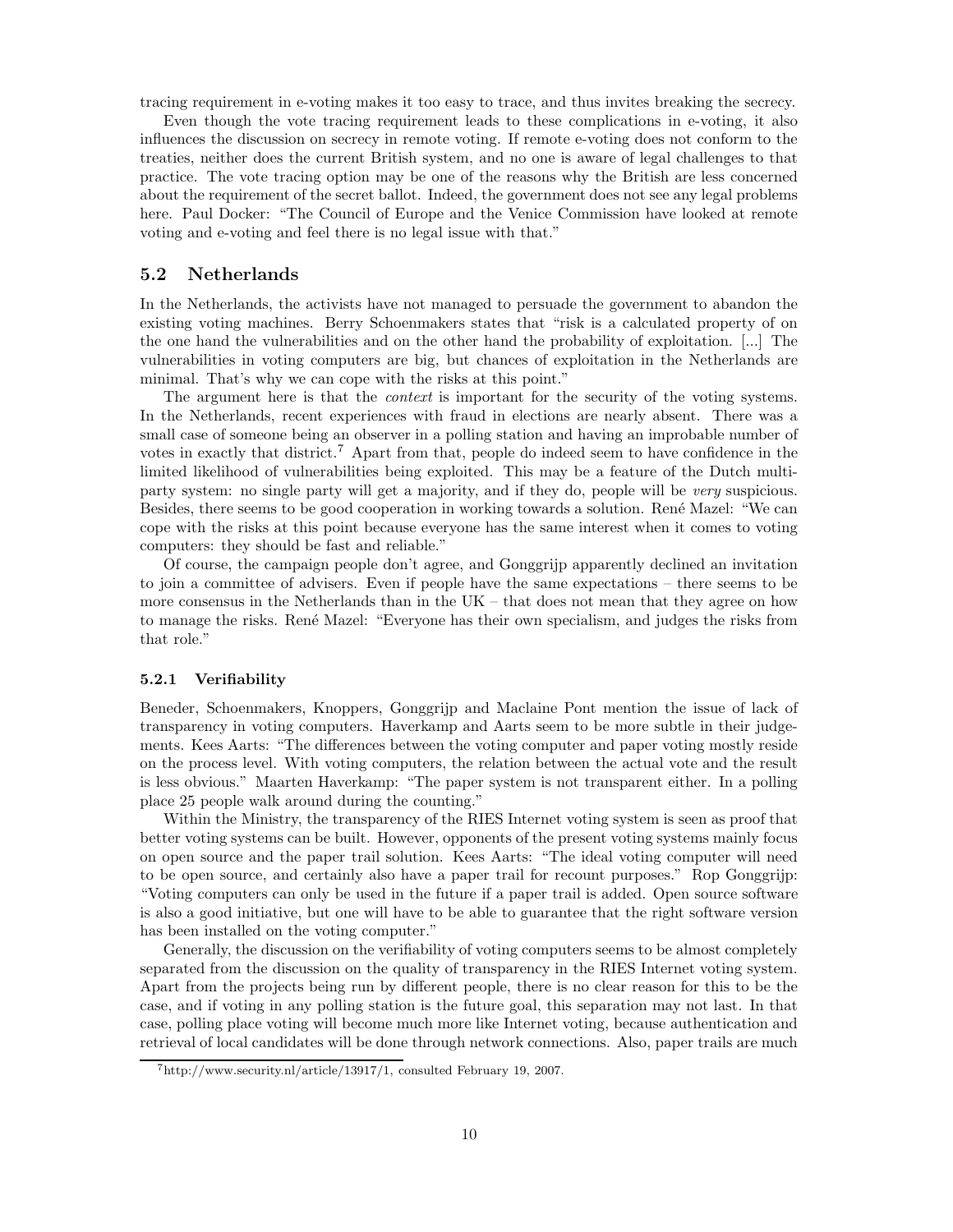tracing requirement in e-voting makes it too easy to trace, and thus invites breaking the secrecy.

Even though the vote tracing requirement leads to these complications in e-voting, it also influences the discussion on secrecy in remote voting. If remote e-voting does not conform to the treaties, neither does the current British system, and no one is aware of legal challenges to that practice. The vote tracing option may be one of the reasons why the British are less concerned about the requirement of the secret ballot. Indeed, the government does not see any legal problems here. Paul Docker: "The Council of Europe and the Venice Commission have looked at remote voting and e-voting and feel there is no legal issue with that."

## 5.2 Netherlands

In the Netherlands, the activists have not managed to persuade the government to abandon the existing voting machines. Berry Schoenmakers states that "risk is a calculated property of on the one hand the vulnerabilities and on the other hand the probability of exploitation. [...] The vulnerabilities in voting computers are big, but chances of exploitation in the Netherlands are minimal. That's why we can cope with the risks at this point."

The argument here is that the *context* is important for the security of the voting systems. In the Netherlands, recent experiences with fraud in elections are nearly absent. There was a small case of someone being an observer in a polling station and having an improbable number of votes in exactly that district.<sup>7</sup> Apart from that, people do indeed seem to have confidence in the limited likelihood of vulnerabilities being exploited. This may be a feature of the Dutch multiparty system: no single party will get a majority, and if they do, people will be very suspicious. Besides, there seems to be good cooperation in working towards a solution. René Mazel: "We can cope with the risks at this point because everyone has the same interest when it comes to voting computers: they should be fast and reliable."

Of course, the campaign people don't agree, and Gonggrijp apparently declined an invitation to join a committee of advisers. Even if people have the same expectations – there seems to be more consensus in the Netherlands than in the UK – that does not mean that they agree on how to manage the risks. Ren´e Mazel: "Everyone has their own specialism, and judges the risks from that role."

#### 5.2.1 Verifiability

Beneder, Schoenmakers, Knoppers, Gonggrijp and Maclaine Pont mention the issue of lack of transparency in voting computers. Haverkamp and Aarts seem to be more subtle in their judgements. Kees Aarts: "The differences between the voting computer and paper voting mostly reside on the process level. With voting computers, the relation between the actual vote and the result is less obvious." Maarten Haverkamp: "The paper system is not transparent either. In a polling place 25 people walk around during the counting."

Within the Ministry, the transparency of the RIES Internet voting system is seen as proof that better voting systems can be built. However, opponents of the present voting systems mainly focus on open source and the paper trail solution. Kees Aarts: "The ideal voting computer will need to be open source, and certainly also have a paper trail for recount purposes." Rop Gonggrijp: "Voting computers can only be used in the future if a paper trail is added. Open source software is also a good initiative, but one will have to be able to guarantee that the right software version has been installed on the voting computer."

Generally, the discussion on the verifiability of voting computers seems to be almost completely separated from the discussion on the quality of transparency in the RIES Internet voting system. Apart from the projects being run by different people, there is no clear reason for this to be the case, and if voting in any polling station is the future goal, this separation may not last. In that case, polling place voting will become much more like Internet voting, because authentication and retrieval of local candidates will be done through network connections. Also, paper trails are much

<sup>7</sup>http://www.security.nl/article/13917/1, consulted February 19, 2007.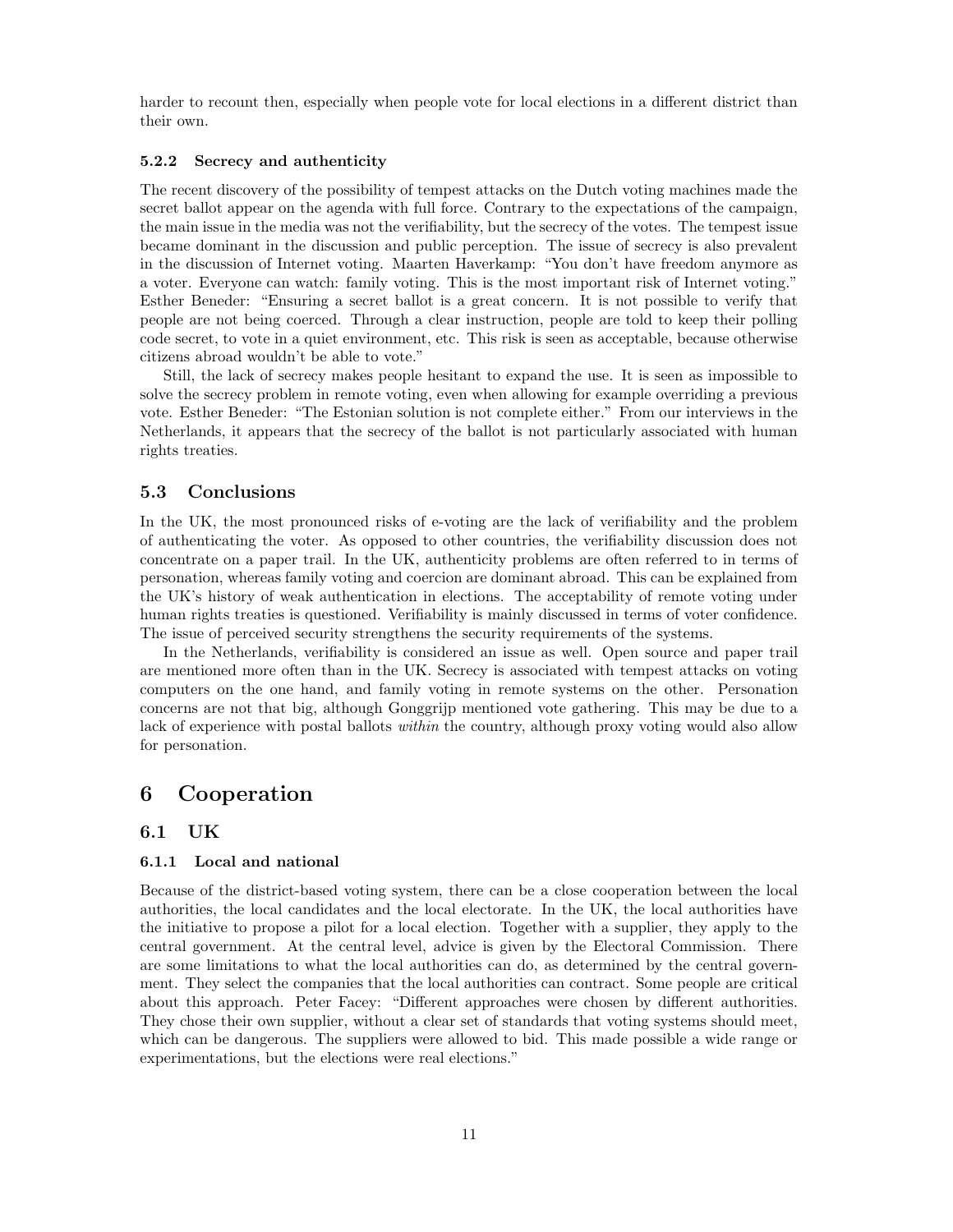harder to recount then, especially when people vote for local elections in a different district than their own.

### 5.2.2 Secrecy and authenticity

The recent discovery of the possibility of tempest attacks on the Dutch voting machines made the secret ballot appear on the agenda with full force. Contrary to the expectations of the campaign, the main issue in the media was not the verifiability, but the secrecy of the votes. The tempest issue became dominant in the discussion and public perception. The issue of secrecy is also prevalent in the discussion of Internet voting. Maarten Haverkamp: "You don't have freedom anymore as a voter. Everyone can watch: family voting. This is the most important risk of Internet voting." Esther Beneder: "Ensuring a secret ballot is a great concern. It is not possible to verify that people are not being coerced. Through a clear instruction, people are told to keep their polling code secret, to vote in a quiet environment, etc. This risk is seen as acceptable, because otherwise citizens abroad wouldn't be able to vote."

Still, the lack of secrecy makes people hesitant to expand the use. It is seen as impossible to solve the secrecy problem in remote voting, even when allowing for example overriding a previous vote. Esther Beneder: "The Estonian solution is not complete either." From our interviews in the Netherlands, it appears that the secrecy of the ballot is not particularly associated with human rights treaties.

## 5.3 Conclusions

In the UK, the most pronounced risks of e-voting are the lack of verifiability and the problem of authenticating the voter. As opposed to other countries, the verifiability discussion does not concentrate on a paper trail. In the UK, authenticity problems are often referred to in terms of personation, whereas family voting and coercion are dominant abroad. This can be explained from the UK's history of weak authentication in elections. The acceptability of remote voting under human rights treaties is questioned. Verifiability is mainly discussed in terms of voter confidence. The issue of perceived security strengthens the security requirements of the systems.

In the Netherlands, verifiability is considered an issue as well. Open source and paper trail are mentioned more often than in the UK. Secrecy is associated with tempest attacks on voting computers on the one hand, and family voting in remote systems on the other. Personation concerns are not that big, although Gonggrijp mentioned vote gathering. This may be due to a lack of experience with postal ballots within the country, although proxy voting would also allow for personation.

## 6 Cooperation

## 6.1 UK

### 6.1.1 Local and national

Because of the district-based voting system, there can be a close cooperation between the local authorities, the local candidates and the local electorate. In the UK, the local authorities have the initiative to propose a pilot for a local election. Together with a supplier, they apply to the central government. At the central level, advice is given by the Electoral Commission. There are some limitations to what the local authorities can do, as determined by the central government. They select the companies that the local authorities can contract. Some people are critical about this approach. Peter Facey: "Different approaches were chosen by different authorities. They chose their own supplier, without a clear set of standards that voting systems should meet, which can be dangerous. The suppliers were allowed to bid. This made possible a wide range or experimentations, but the elections were real elections."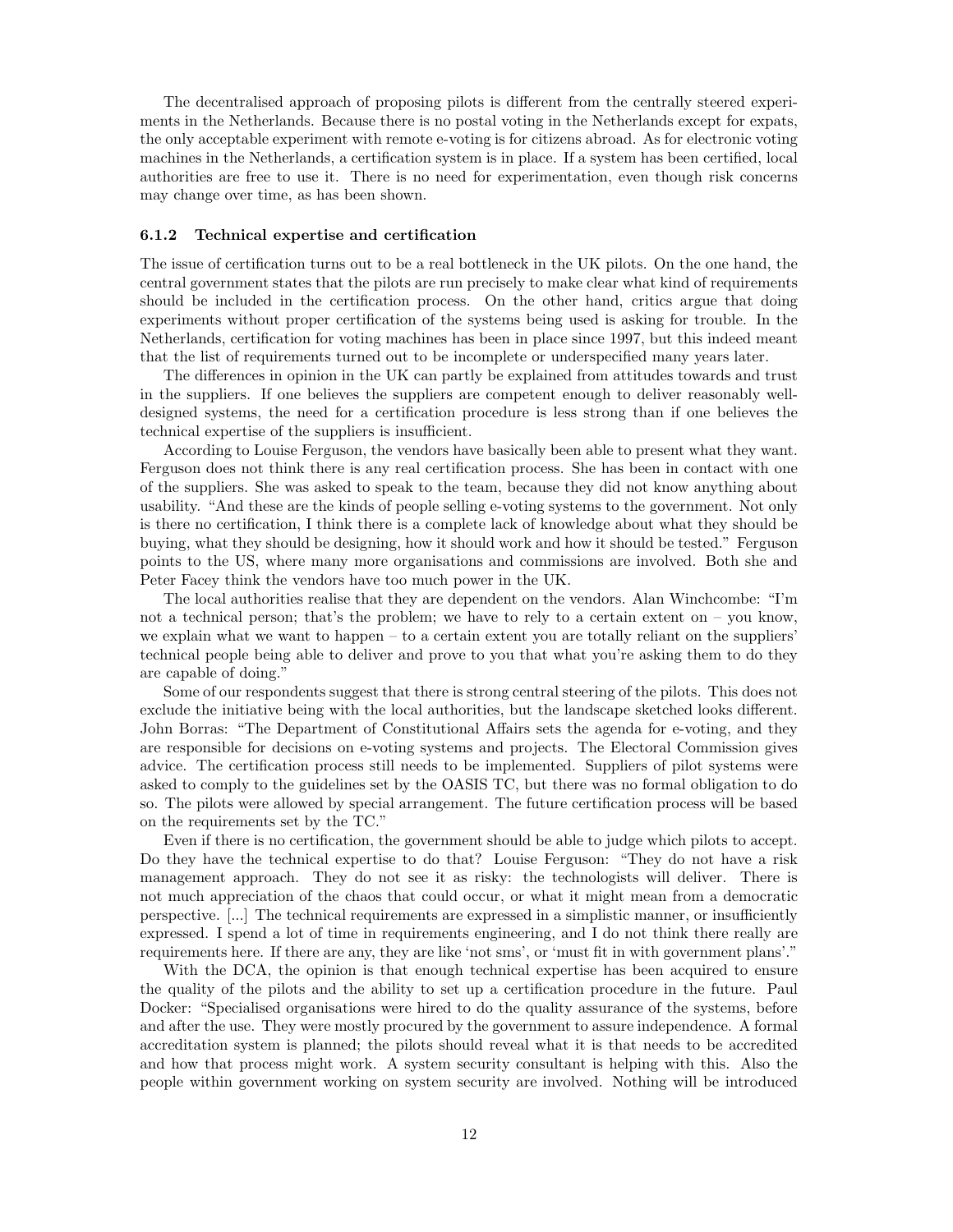The decentralised approach of proposing pilots is different from the centrally steered experiments in the Netherlands. Because there is no postal voting in the Netherlands except for expats, the only acceptable experiment with remote e-voting is for citizens abroad. As for electronic voting machines in the Netherlands, a certification system is in place. If a system has been certified, local authorities are free to use it. There is no need for experimentation, even though risk concerns may change over time, as has been shown.

#### 6.1.2 Technical expertise and certification

The issue of certification turns out to be a real bottleneck in the UK pilots. On the one hand, the central government states that the pilots are run precisely to make clear what kind of requirements should be included in the certification process. On the other hand, critics argue that doing experiments without proper certification of the systems being used is asking for trouble. In the Netherlands, certification for voting machines has been in place since 1997, but this indeed meant that the list of requirements turned out to be incomplete or underspecified many years later.

The differences in opinion in the UK can partly be explained from attitudes towards and trust in the suppliers. If one believes the suppliers are competent enough to deliver reasonably welldesigned systems, the need for a certification procedure is less strong than if one believes the technical expertise of the suppliers is insufficient.

According to Louise Ferguson, the vendors have basically been able to present what they want. Ferguson does not think there is any real certification process. She has been in contact with one of the suppliers. She was asked to speak to the team, because they did not know anything about usability. "And these are the kinds of people selling e-voting systems to the government. Not only is there no certification, I think there is a complete lack of knowledge about what they should be buying, what they should be designing, how it should work and how it should be tested." Ferguson points to the US, where many more organisations and commissions are involved. Both she and Peter Facey think the vendors have too much power in the UK.

The local authorities realise that they are dependent on the vendors. Alan Winchcombe: "I'm not a technical person; that's the problem; we have to rely to a certain extent on – you know, we explain what we want to happen – to a certain extent you are totally reliant on the suppliers' technical people being able to deliver and prove to you that what you're asking them to do they are capable of doing."

Some of our respondents suggest that there is strong central steering of the pilots. This does not exclude the initiative being with the local authorities, but the landscape sketched looks different. John Borras: "The Department of Constitutional Affairs sets the agenda for e-voting, and they are responsible for decisions on e-voting systems and projects. The Electoral Commission gives advice. The certification process still needs to be implemented. Suppliers of pilot systems were asked to comply to the guidelines set by the OASIS TC, but there was no formal obligation to do so. The pilots were allowed by special arrangement. The future certification process will be based on the requirements set by the TC."

Even if there is no certification, the government should be able to judge which pilots to accept. Do they have the technical expertise to do that? Louise Ferguson: "They do not have a risk management approach. They do not see it as risky: the technologists will deliver. There is not much appreciation of the chaos that could occur, or what it might mean from a democratic perspective. [...] The technical requirements are expressed in a simplistic manner, or insufficiently expressed. I spend a lot of time in requirements engineering, and I do not think there really are requirements here. If there are any, they are like 'not sms', or 'must fit in with government plans'."

With the DCA, the opinion is that enough technical expertise has been acquired to ensure the quality of the pilots and the ability to set up a certification procedure in the future. Paul Docker: "Specialised organisations were hired to do the quality assurance of the systems, before and after the use. They were mostly procured by the government to assure independence. A formal accreditation system is planned; the pilots should reveal what it is that needs to be accredited and how that process might work. A system security consultant is helping with this. Also the people within government working on system security are involved. Nothing will be introduced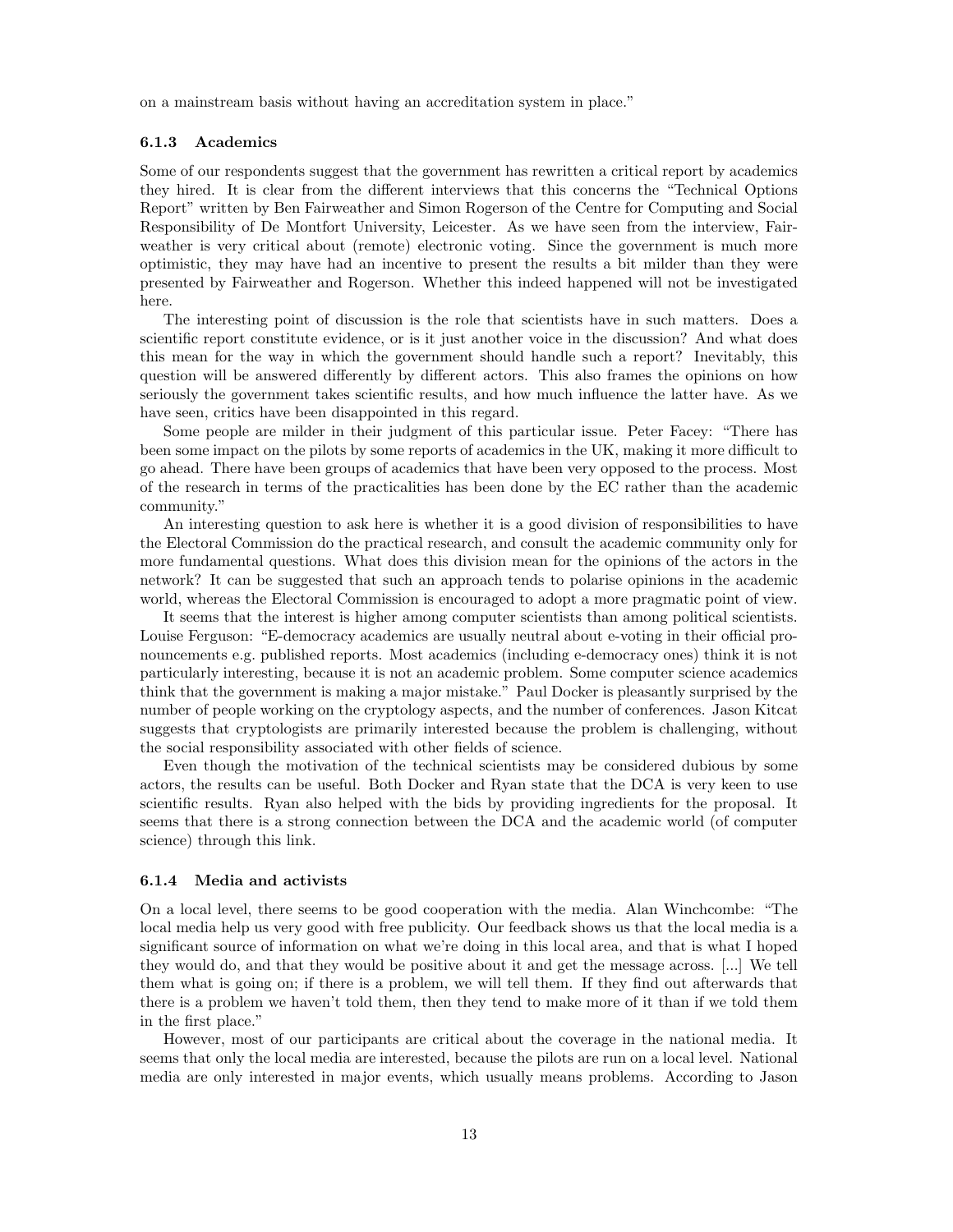on a mainstream basis without having an accreditation system in place."

#### 6.1.3 Academics

Some of our respondents suggest that the government has rewritten a critical report by academics they hired. It is clear from the different interviews that this concerns the "Technical Options Report" written by Ben Fairweather and Simon Rogerson of the Centre for Computing and Social Responsibility of De Montfort University, Leicester. As we have seen from the interview, Fairweather is very critical about (remote) electronic voting. Since the government is much more optimistic, they may have had an incentive to present the results a bit milder than they were presented by Fairweather and Rogerson. Whether this indeed happened will not be investigated here.

The interesting point of discussion is the role that scientists have in such matters. Does a scientific report constitute evidence, or is it just another voice in the discussion? And what does this mean for the way in which the government should handle such a report? Inevitably, this question will be answered differently by different actors. This also frames the opinions on how seriously the government takes scientific results, and how much influence the latter have. As we have seen, critics have been disappointed in this regard.

Some people are milder in their judgment of this particular issue. Peter Facey: "There has been some impact on the pilots by some reports of academics in the UK, making it more difficult to go ahead. There have been groups of academics that have been very opposed to the process. Most of the research in terms of the practicalities has been done by the EC rather than the academic community."

An interesting question to ask here is whether it is a good division of responsibilities to have the Electoral Commission do the practical research, and consult the academic community only for more fundamental questions. What does this division mean for the opinions of the actors in the network? It can be suggested that such an approach tends to polarise opinions in the academic world, whereas the Electoral Commission is encouraged to adopt a more pragmatic point of view.

It seems that the interest is higher among computer scientists than among political scientists. Louise Ferguson: "E-democracy academics are usually neutral about e-voting in their official pronouncements e.g. published reports. Most academics (including e-democracy ones) think it is not particularly interesting, because it is not an academic problem. Some computer science academics think that the government is making a major mistake." Paul Docker is pleasantly surprised by the number of people working on the cryptology aspects, and the number of conferences. Jason Kitcat suggests that cryptologists are primarily interested because the problem is challenging, without the social responsibility associated with other fields of science.

Even though the motivation of the technical scientists may be considered dubious by some actors, the results can be useful. Both Docker and Ryan state that the DCA is very keen to use scientific results. Ryan also helped with the bids by providing ingredients for the proposal. It seems that there is a strong connection between the DCA and the academic world (of computer science) through this link.

### 6.1.4 Media and activists

On a local level, there seems to be good cooperation with the media. Alan Winchcombe: "The local media help us very good with free publicity. Our feedback shows us that the local media is a significant source of information on what we're doing in this local area, and that is what I hoped they would do, and that they would be positive about it and get the message across. [...] We tell them what is going on; if there is a problem, we will tell them. If they find out afterwards that there is a problem we haven't told them, then they tend to make more of it than if we told them in the first place."

However, most of our participants are critical about the coverage in the national media. It seems that only the local media are interested, because the pilots are run on a local level. National media are only interested in major events, which usually means problems. According to Jason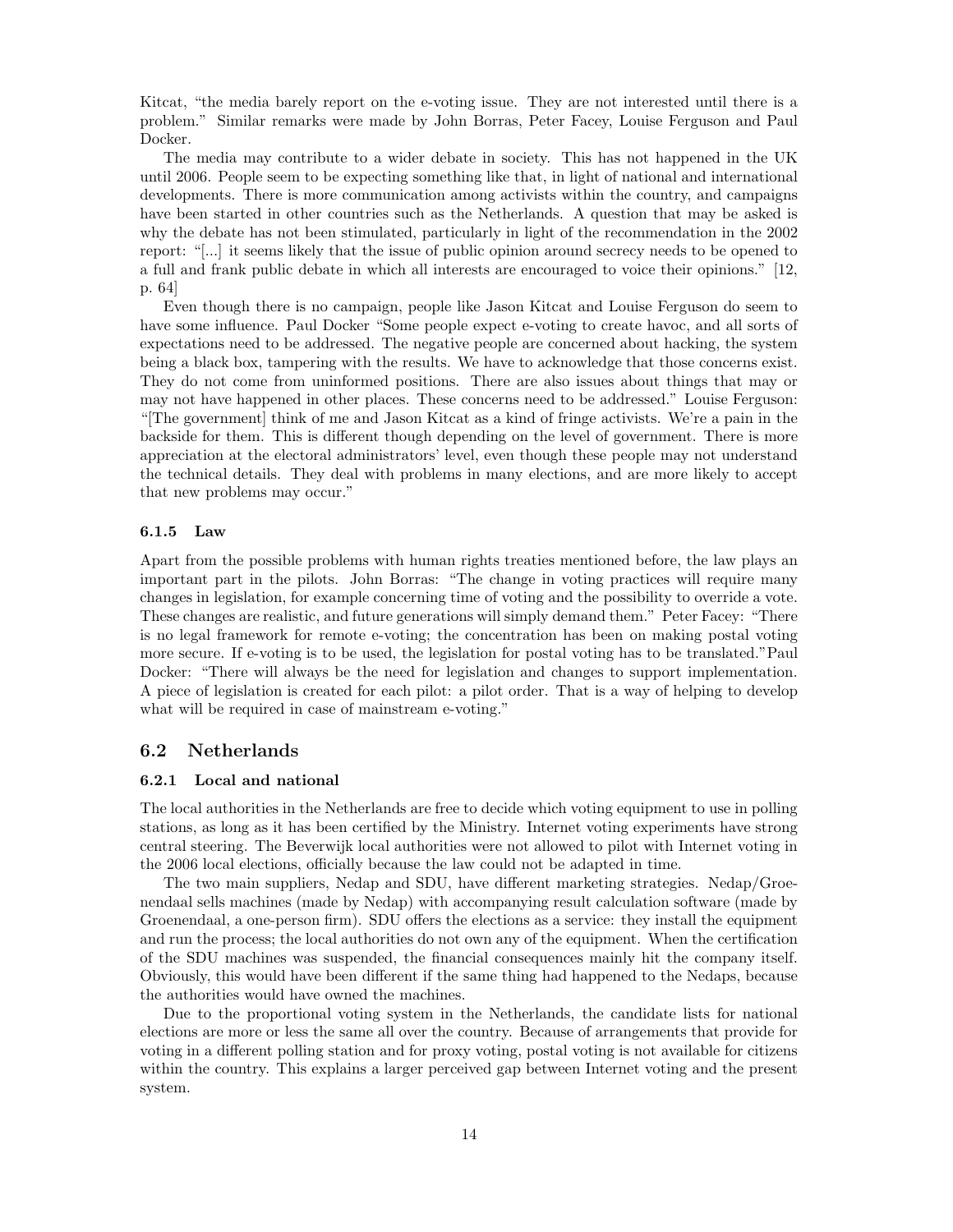Kitcat, "the media barely report on the e-voting issue. They are not interested until there is a problem." Similar remarks were made by John Borras, Peter Facey, Louise Ferguson and Paul Docker.

The media may contribute to a wider debate in society. This has not happened in the UK until 2006. People seem to be expecting something like that, in light of national and international developments. There is more communication among activists within the country, and campaigns have been started in other countries such as the Netherlands. A question that may be asked is why the debate has not been stimulated, particularly in light of the recommendation in the 2002 report: "[...] it seems likely that the issue of public opinion around secrecy needs to be opened to a full and frank public debate in which all interests are encouraged to voice their opinions." [12, p. 64]

Even though there is no campaign, people like Jason Kitcat and Louise Ferguson do seem to have some influence. Paul Docker "Some people expect e-voting to create havoc, and all sorts of expectations need to be addressed. The negative people are concerned about hacking, the system being a black box, tampering with the results. We have to acknowledge that those concerns exist. They do not come from uninformed positions. There are also issues about things that may or may not have happened in other places. These concerns need to be addressed." Louise Ferguson: "[The government] think of me and Jason Kitcat as a kind of fringe activists. We're a pain in the backside for them. This is different though depending on the level of government. There is more appreciation at the electoral administrators' level, even though these people may not understand the technical details. They deal with problems in many elections, and are more likely to accept that new problems may occur."

#### 6.1.5 Law

Apart from the possible problems with human rights treaties mentioned before, the law plays an important part in the pilots. John Borras: "The change in voting practices will require many changes in legislation, for example concerning time of voting and the possibility to override a vote. These changes are realistic, and future generations will simply demand them." Peter Facey: "There is no legal framework for remote e-voting; the concentration has been on making postal voting more secure. If e-voting is to be used, the legislation for postal voting has to be translated."Paul Docker: "There will always be the need for legislation and changes to support implementation. A piece of legislation is created for each pilot: a pilot order. That is a way of helping to develop what will be required in case of mainstream e-voting."

## 6.2 Netherlands

### 6.2.1 Local and national

The local authorities in the Netherlands are free to decide which voting equipment to use in polling stations, as long as it has been certified by the Ministry. Internet voting experiments have strong central steering. The Beverwijk local authorities were not allowed to pilot with Internet voting in the 2006 local elections, officially because the law could not be adapted in time.

The two main suppliers, Nedap and SDU, have different marketing strategies. Nedap/Groenendaal sells machines (made by Nedap) with accompanying result calculation software (made by Groenendaal, a one-person firm). SDU offers the elections as a service: they install the equipment and run the process; the local authorities do not own any of the equipment. When the certification of the SDU machines was suspended, the financial consequences mainly hit the company itself. Obviously, this would have been different if the same thing had happened to the Nedaps, because the authorities would have owned the machines.

Due to the proportional voting system in the Netherlands, the candidate lists for national elections are more or less the same all over the country. Because of arrangements that provide for voting in a different polling station and for proxy voting, postal voting is not available for citizens within the country. This explains a larger perceived gap between Internet voting and the present system.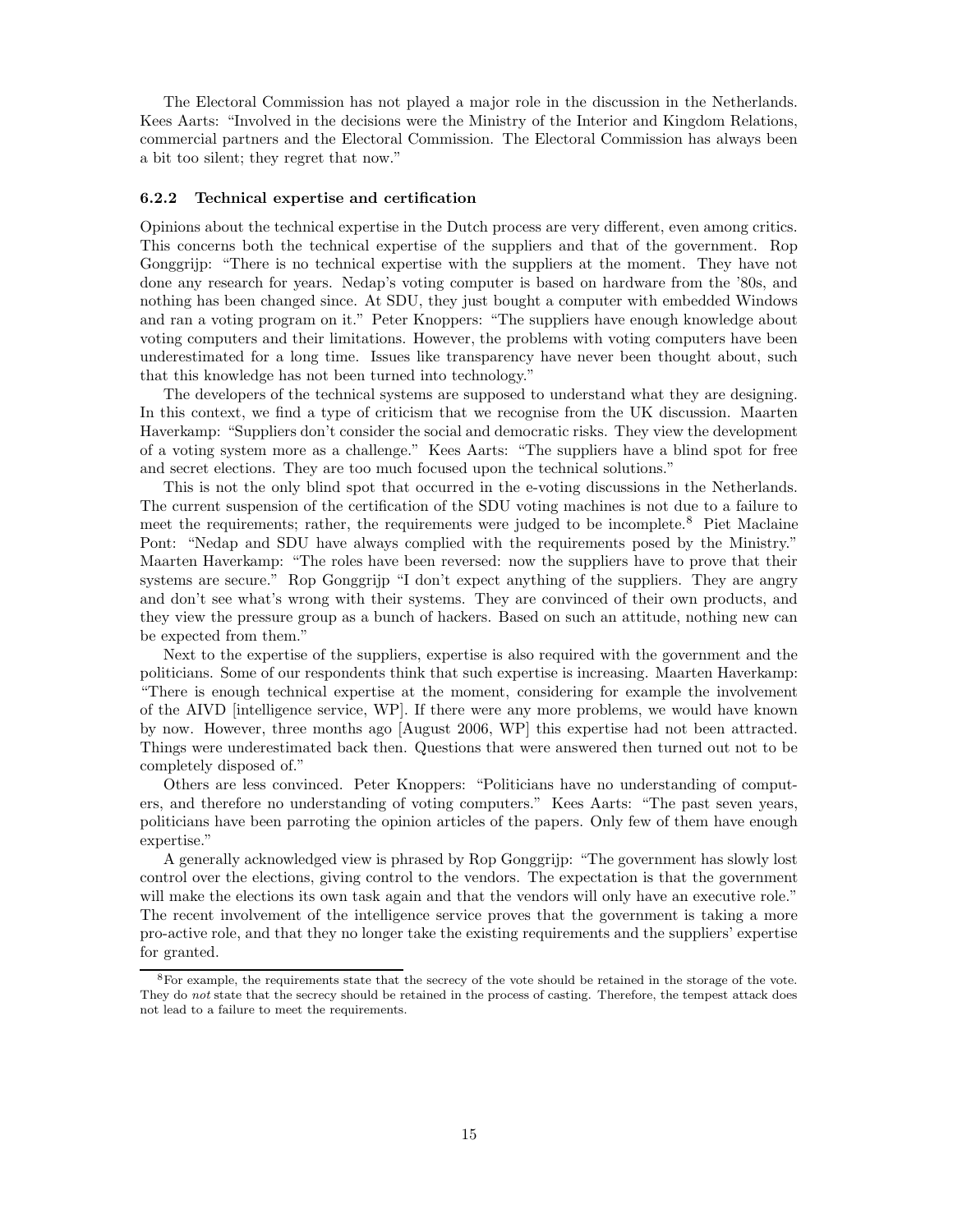The Electoral Commission has not played a major role in the discussion in the Netherlands. Kees Aarts: "Involved in the decisions were the Ministry of the Interior and Kingdom Relations, commercial partners and the Electoral Commission. The Electoral Commission has always been a bit too silent; they regret that now."

#### 6.2.2 Technical expertise and certification

Opinions about the technical expertise in the Dutch process are very different, even among critics. This concerns both the technical expertise of the suppliers and that of the government. Rop Gonggrijp: "There is no technical expertise with the suppliers at the moment. They have not done any research for years. Nedap's voting computer is based on hardware from the '80s, and nothing has been changed since. At SDU, they just bought a computer with embedded Windows and ran a voting program on it." Peter Knoppers: "The suppliers have enough knowledge about voting computers and their limitations. However, the problems with voting computers have been underestimated for a long time. Issues like transparency have never been thought about, such that this knowledge has not been turned into technology."

The developers of the technical systems are supposed to understand what they are designing. In this context, we find a type of criticism that we recognise from the UK discussion. Maarten Haverkamp: "Suppliers don't consider the social and democratic risks. They view the development of a voting system more as a challenge." Kees Aarts: "The suppliers have a blind spot for free and secret elections. They are too much focused upon the technical solutions."

This is not the only blind spot that occurred in the e-voting discussions in the Netherlands. The current suspension of the certification of the SDU voting machines is not due to a failure to meet the requirements; rather, the requirements were judged to be incomplete.<sup>8</sup> Piet Maclaine Pont: "Nedap and SDU have always complied with the requirements posed by the Ministry." Maarten Haverkamp: "The roles have been reversed: now the suppliers have to prove that their systems are secure." Rop Gonggrijp "I don't expect anything of the suppliers. They are angry and don't see what's wrong with their systems. They are convinced of their own products, and they view the pressure group as a bunch of hackers. Based on such an attitude, nothing new can be expected from them."

Next to the expertise of the suppliers, expertise is also required with the government and the politicians. Some of our respondents think that such expertise is increasing. Maarten Haverkamp: "There is enough technical expertise at the moment, considering for example the involvement of the AIVD [intelligence service, WP]. If there were any more problems, we would have known by now. However, three months ago [August 2006, WP] this expertise had not been attracted. Things were underestimated back then. Questions that were answered then turned out not to be completely disposed of."

Others are less convinced. Peter Knoppers: "Politicians have no understanding of computers, and therefore no understanding of voting computers." Kees Aarts: "The past seven years, politicians have been parroting the opinion articles of the papers. Only few of them have enough expertise."

A generally acknowledged view is phrased by Rop Gonggrijp: "The government has slowly lost control over the elections, giving control to the vendors. The expectation is that the government will make the elections its own task again and that the vendors will only have an executive role." The recent involvement of the intelligence service proves that the government is taking a more pro-active role, and that they no longer take the existing requirements and the suppliers' expertise for granted.

<sup>&</sup>lt;sup>8</sup>For example, the requirements state that the secrecy of the vote should be retained in the storage of the vote. They do not state that the secrecy should be retained in the process of casting. Therefore, the tempest attack does not lead to a failure to meet the requirements.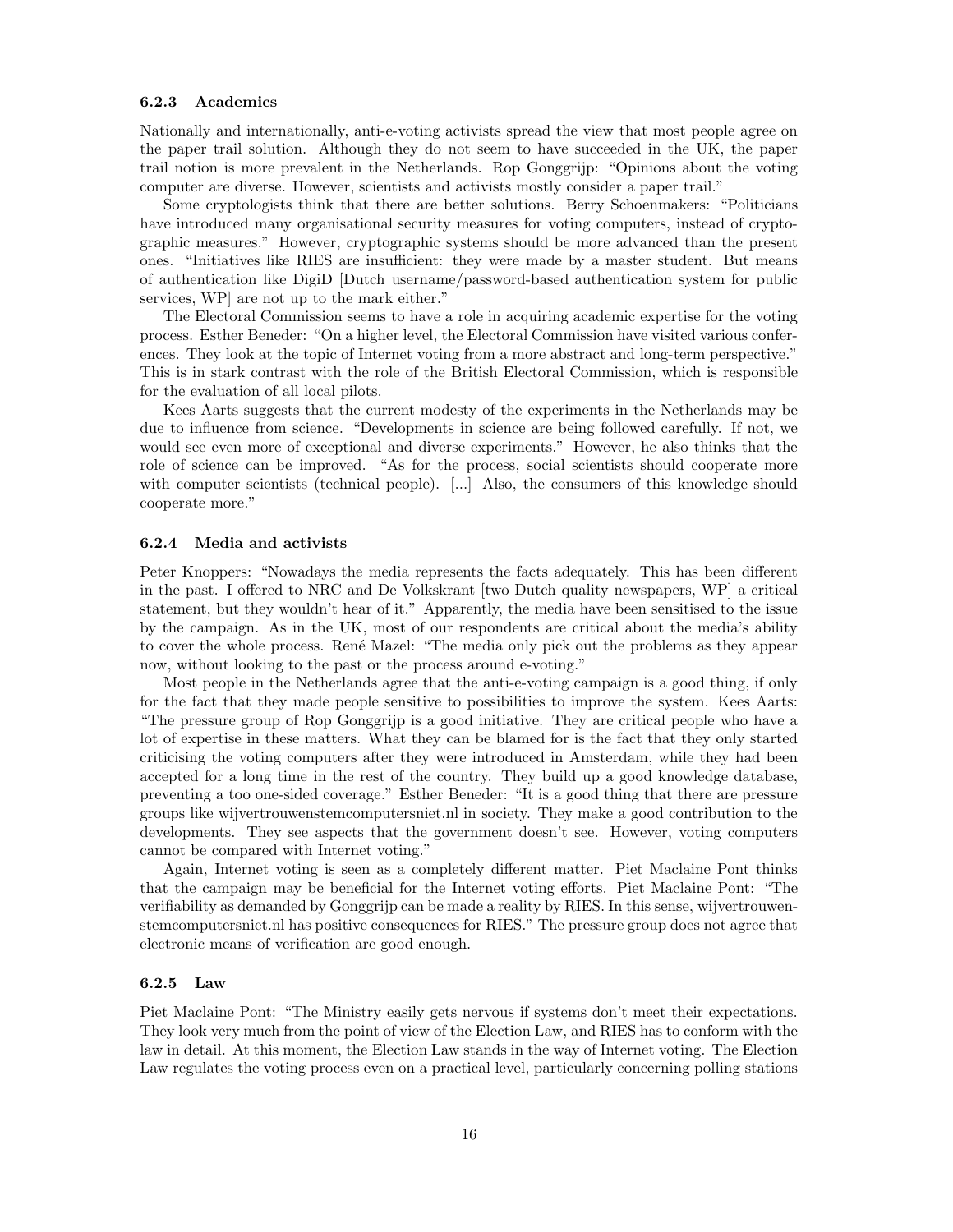#### 6.2.3 Academics

Nationally and internationally, anti-e-voting activists spread the view that most people agree on the paper trail solution. Although they do not seem to have succeeded in the UK, the paper trail notion is more prevalent in the Netherlands. Rop Gonggrijp: "Opinions about the voting computer are diverse. However, scientists and activists mostly consider a paper trail."

Some cryptologists think that there are better solutions. Berry Schoenmakers: "Politicians have introduced many organisational security measures for voting computers, instead of cryptographic measures." However, cryptographic systems should be more advanced than the present ones. "Initiatives like RIES are insufficient: they were made by a master student. But means of authentication like DigiD [Dutch username/password-based authentication system for public services, WP] are not up to the mark either."

The Electoral Commission seems to have a role in acquiring academic expertise for the voting process. Esther Beneder: "On a higher level, the Electoral Commission have visited various conferences. They look at the topic of Internet voting from a more abstract and long-term perspective." This is in stark contrast with the role of the British Electoral Commission, which is responsible for the evaluation of all local pilots.

Kees Aarts suggests that the current modesty of the experiments in the Netherlands may be due to influence from science. "Developments in science are being followed carefully. If not, we would see even more of exceptional and diverse experiments." However, he also thinks that the role of science can be improved. "As for the process, social scientists should cooperate more with computer scientists (technical people). [...] Also, the consumers of this knowledge should cooperate more."

### 6.2.4 Media and activists

Peter Knoppers: "Nowadays the media represents the facts adequately. This has been different in the past. I offered to NRC and De Volkskrant [two Dutch quality newspapers, WP] a critical statement, but they wouldn't hear of it." Apparently, the media have been sensitised to the issue by the campaign. As in the UK, most of our respondents are critical about the media's ability to cover the whole process. René Mazel: "The media only pick out the problems as they appear now, without looking to the past or the process around e-voting."

Most people in the Netherlands agree that the anti-e-voting campaign is a good thing, if only for the fact that they made people sensitive to possibilities to improve the system. Kees Aarts: "The pressure group of Rop Gonggrijp is a good initiative. They are critical people who have a lot of expertise in these matters. What they can be blamed for is the fact that they only started criticising the voting computers after they were introduced in Amsterdam, while they had been accepted for a long time in the rest of the country. They build up a good knowledge database, preventing a too one-sided coverage." Esther Beneder: "It is a good thing that there are pressure groups like wijvertrouwenstemcomputersniet.nl in society. They make a good contribution to the developments. They see aspects that the government doesn't see. However, voting computers cannot be compared with Internet voting."

Again, Internet voting is seen as a completely different matter. Piet Maclaine Pont thinks that the campaign may be beneficial for the Internet voting efforts. Piet Maclaine Pont: "The verifiability as demanded by Gonggrijp can be made a reality by RIES. In this sense, wijvertrouwenstemcomputersniet.nl has positive consequences for RIES." The pressure group does not agree that electronic means of verification are good enough.

#### 6.2.5 Law

Piet Maclaine Pont: "The Ministry easily gets nervous if systems don't meet their expectations. They look very much from the point of view of the Election Law, and RIES has to conform with the law in detail. At this moment, the Election Law stands in the way of Internet voting. The Election Law regulates the voting process even on a practical level, particularly concerning polling stations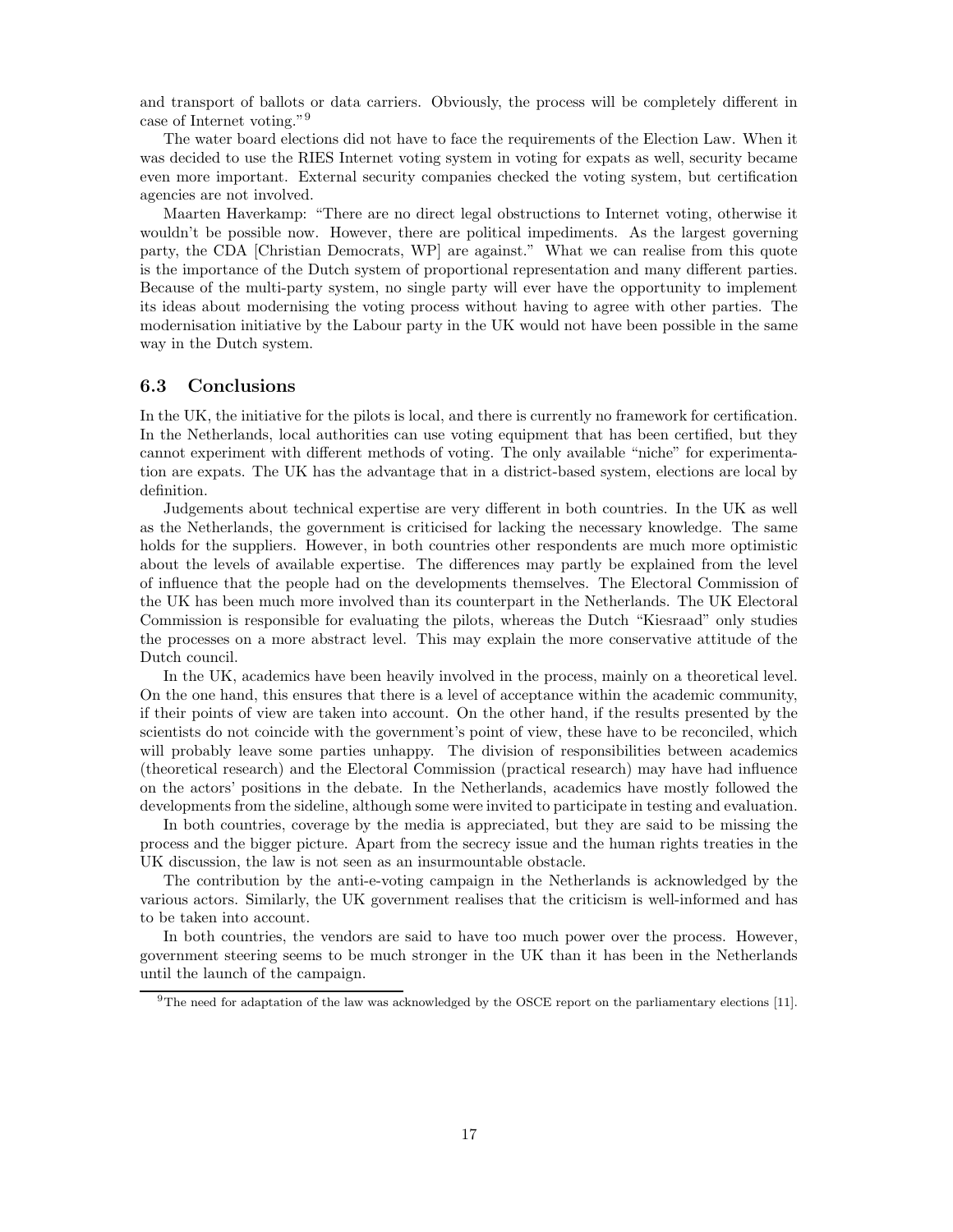and transport of ballots or data carriers. Obviously, the process will be completely different in case of Internet voting."<sup>9</sup>

The water board elections did not have to face the requirements of the Election Law. When it was decided to use the RIES Internet voting system in voting for expats as well, security became even more important. External security companies checked the voting system, but certification agencies are not involved.

Maarten Haverkamp: "There are no direct legal obstructions to Internet voting, otherwise it wouldn't be possible now. However, there are political impediments. As the largest governing party, the CDA [Christian Democrats, WP] are against." What we can realise from this quote is the importance of the Dutch system of proportional representation and many different parties. Because of the multi-party system, no single party will ever have the opportunity to implement its ideas about modernising the voting process without having to agree with other parties. The modernisation initiative by the Labour party in the UK would not have been possible in the same way in the Dutch system.

## 6.3 Conclusions

In the UK, the initiative for the pilots is local, and there is currently no framework for certification. In the Netherlands, local authorities can use voting equipment that has been certified, but they cannot experiment with different methods of voting. The only available "niche" for experimentation are expats. The UK has the advantage that in a district-based system, elections are local by definition.

Judgements about technical expertise are very different in both countries. In the UK as well as the Netherlands, the government is criticised for lacking the necessary knowledge. The same holds for the suppliers. However, in both countries other respondents are much more optimistic about the levels of available expertise. The differences may partly be explained from the level of influence that the people had on the developments themselves. The Electoral Commission of the UK has been much more involved than its counterpart in the Netherlands. The UK Electoral Commission is responsible for evaluating the pilots, whereas the Dutch "Kiesraad" only studies the processes on a more abstract level. This may explain the more conservative attitude of the Dutch council.

In the UK, academics have been heavily involved in the process, mainly on a theoretical level. On the one hand, this ensures that there is a level of acceptance within the academic community, if their points of view are taken into account. On the other hand, if the results presented by the scientists do not coincide with the government's point of view, these have to be reconciled, which will probably leave some parties unhappy. The division of responsibilities between academics (theoretical research) and the Electoral Commission (practical research) may have had influence on the actors' positions in the debate. In the Netherlands, academics have mostly followed the developments from the sideline, although some were invited to participate in testing and evaluation.

In both countries, coverage by the media is appreciated, but they are said to be missing the process and the bigger picture. Apart from the secrecy issue and the human rights treaties in the UK discussion, the law is not seen as an insurmountable obstacle.

The contribution by the anti-e-voting campaign in the Netherlands is acknowledged by the various actors. Similarly, the UK government realises that the criticism is well-informed and has to be taken into account.

In both countries, the vendors are said to have too much power over the process. However, government steering seems to be much stronger in the UK than it has been in the Netherlands until the launch of the campaign.

 $9^9$ The need for adaptation of the law was acknowledged by the OSCE report on the parliamentary elections [11].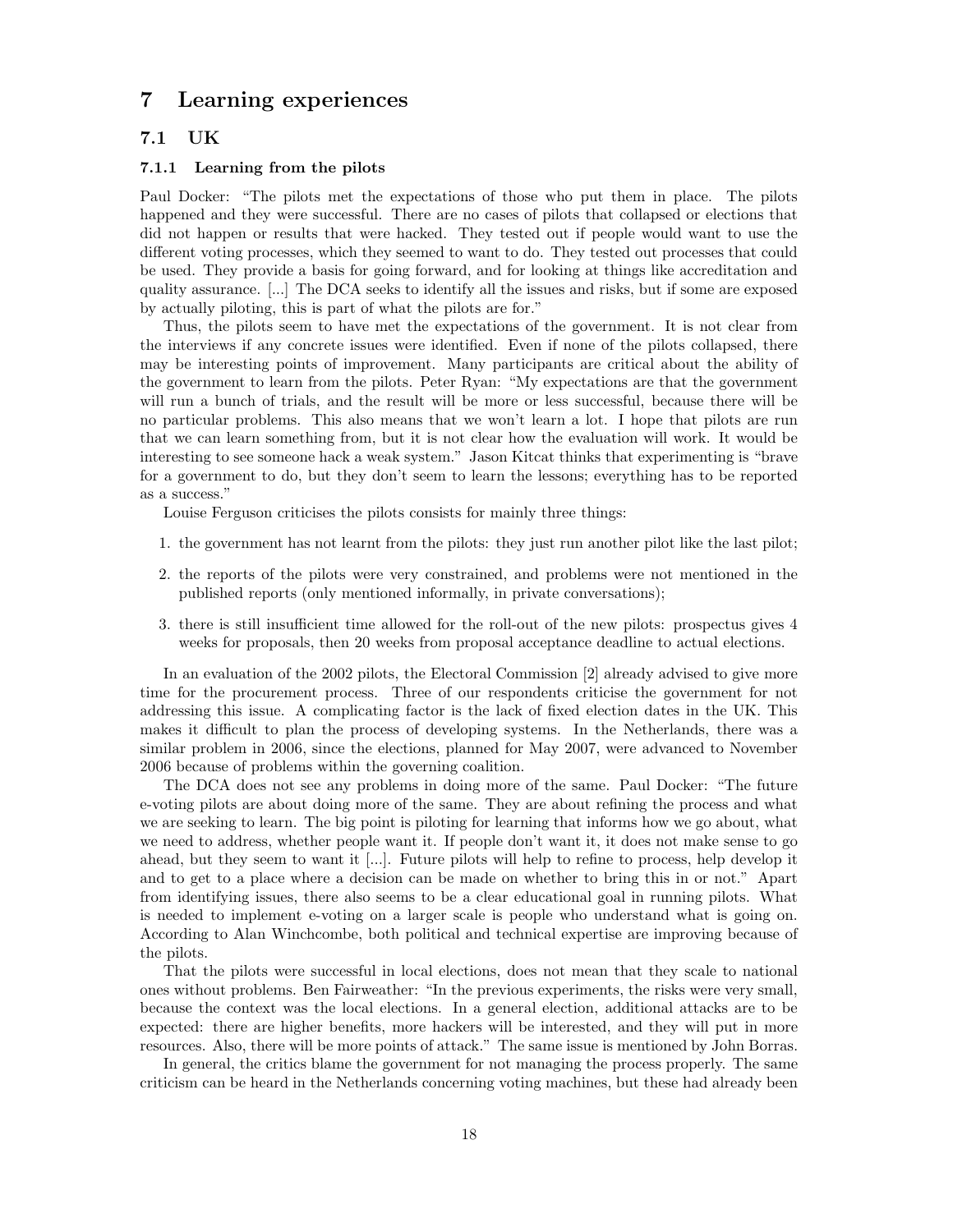## 7 Learning experiences

## 7.1 UK

#### 7.1.1 Learning from the pilots

Paul Docker: "The pilots met the expectations of those who put them in place. The pilots happened and they were successful. There are no cases of pilots that collapsed or elections that did not happen or results that were hacked. They tested out if people would want to use the different voting processes, which they seemed to want to do. They tested out processes that could be used. They provide a basis for going forward, and for looking at things like accreditation and quality assurance. [...] The DCA seeks to identify all the issues and risks, but if some are exposed by actually piloting, this is part of what the pilots are for."

Thus, the pilots seem to have met the expectations of the government. It is not clear from the interviews if any concrete issues were identified. Even if none of the pilots collapsed, there may be interesting points of improvement. Many participants are critical about the ability of the government to learn from the pilots. Peter Ryan: "My expectations are that the government will run a bunch of trials, and the result will be more or less successful, because there will be no particular problems. This also means that we won't learn a lot. I hope that pilots are run that we can learn something from, but it is not clear how the evaluation will work. It would be interesting to see someone hack a weak system." Jason Kitcat thinks that experimenting is "brave for a government to do, but they don't seem to learn the lessons; everything has to be reported as a success."

Louise Ferguson criticises the pilots consists for mainly three things:

- 1. the government has not learnt from the pilots: they just run another pilot like the last pilot;
- 2. the reports of the pilots were very constrained, and problems were not mentioned in the published reports (only mentioned informally, in private conversations);
- 3. there is still insufficient time allowed for the roll-out of the new pilots: prospectus gives 4 weeks for proposals, then 20 weeks from proposal acceptance deadline to actual elections.

In an evaluation of the 2002 pilots, the Electoral Commission [2] already advised to give more time for the procurement process. Three of our respondents criticise the government for not addressing this issue. A complicating factor is the lack of fixed election dates in the UK. This makes it difficult to plan the process of developing systems. In the Netherlands, there was a similar problem in 2006, since the elections, planned for May 2007, were advanced to November 2006 because of problems within the governing coalition.

The DCA does not see any problems in doing more of the same. Paul Docker: "The future e-voting pilots are about doing more of the same. They are about refining the process and what we are seeking to learn. The big point is piloting for learning that informs how we go about, what we need to address, whether people want it. If people don't want it, it does not make sense to go ahead, but they seem to want it [...]. Future pilots will help to refine to process, help develop it and to get to a place where a decision can be made on whether to bring this in or not." Apart from identifying issues, there also seems to be a clear educational goal in running pilots. What is needed to implement e-voting on a larger scale is people who understand what is going on. According to Alan Winchcombe, both political and technical expertise are improving because of the pilots.

That the pilots were successful in local elections, does not mean that they scale to national ones without problems. Ben Fairweather: "In the previous experiments, the risks were very small, because the context was the local elections. In a general election, additional attacks are to be expected: there are higher benefits, more hackers will be interested, and they will put in more resources. Also, there will be more points of attack." The same issue is mentioned by John Borras.

In general, the critics blame the government for not managing the process properly. The same criticism can be heard in the Netherlands concerning voting machines, but these had already been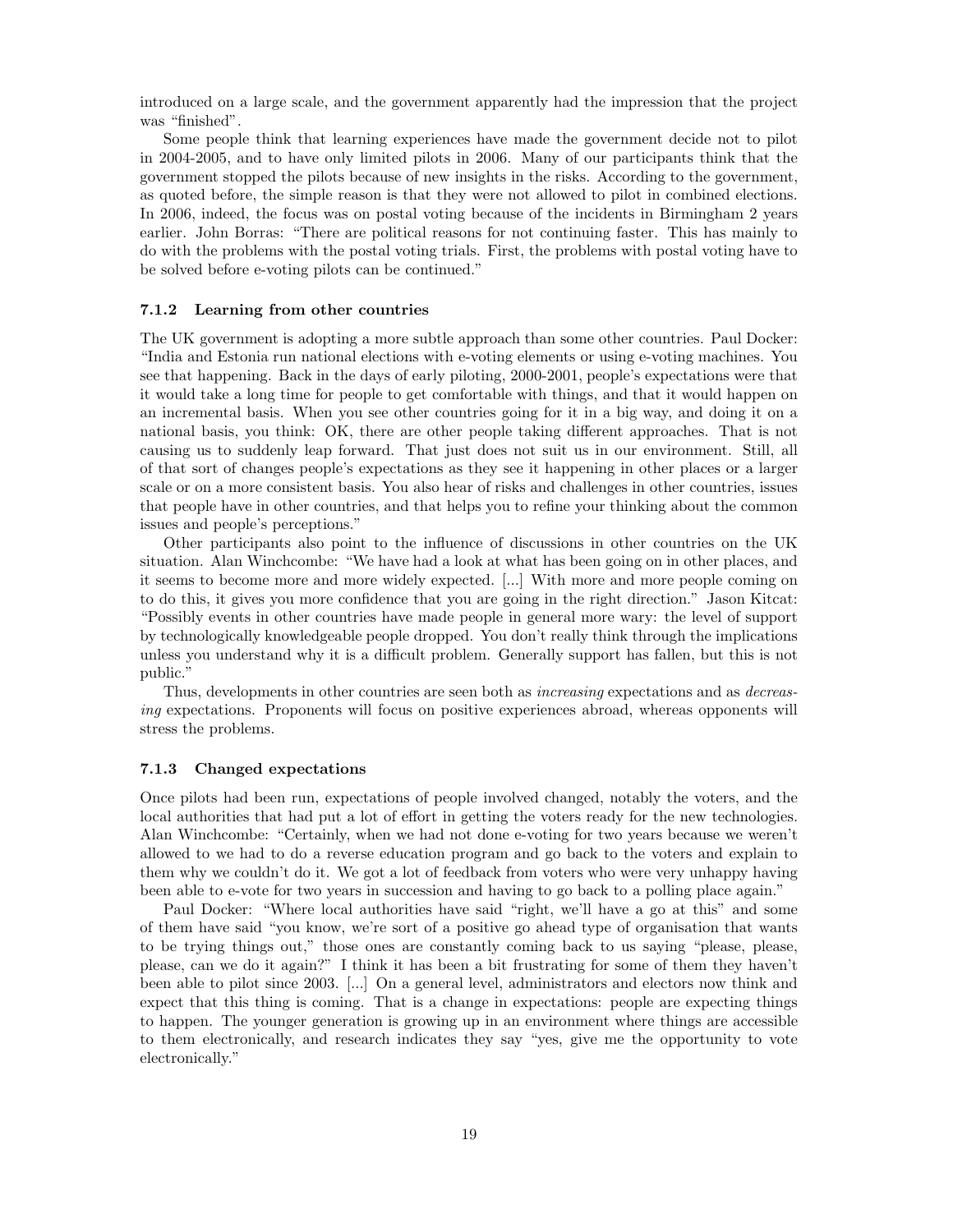introduced on a large scale, and the government apparently had the impression that the project was "finished".

Some people think that learning experiences have made the government decide not to pilot in 2004-2005, and to have only limited pilots in 2006. Many of our participants think that the government stopped the pilots because of new insights in the risks. According to the government, as quoted before, the simple reason is that they were not allowed to pilot in combined elections. In 2006, indeed, the focus was on postal voting because of the incidents in Birmingham 2 years earlier. John Borras: "There are political reasons for not continuing faster. This has mainly to do with the problems with the postal voting trials. First, the problems with postal voting have to be solved before e-voting pilots can be continued."

#### 7.1.2 Learning from other countries

The UK government is adopting a more subtle approach than some other countries. Paul Docker: "India and Estonia run national elections with e-voting elements or using e-voting machines. You see that happening. Back in the days of early piloting, 2000-2001, people's expectations were that it would take a long time for people to get comfortable with things, and that it would happen on an incremental basis. When you see other countries going for it in a big way, and doing it on a national basis, you think: OK, there are other people taking different approaches. That is not causing us to suddenly leap forward. That just does not suit us in our environment. Still, all of that sort of changes people's expectations as they see it happening in other places or a larger scale or on a more consistent basis. You also hear of risks and challenges in other countries, issues that people have in other countries, and that helps you to refine your thinking about the common issues and people's perceptions."

Other participants also point to the influence of discussions in other countries on the UK situation. Alan Winchcombe: "We have had a look at what has been going on in other places, and it seems to become more and more widely expected. [...] With more and more people coming on to do this, it gives you more confidence that you are going in the right direction." Jason Kitcat: "Possibly events in other countries have made people in general more wary: the level of support by technologically knowledgeable people dropped. You don't really think through the implications unless you understand why it is a difficult problem. Generally support has fallen, but this is not public."

Thus, developments in other countries are seen both as increasing expectations and as decreasing expectations. Proponents will focus on positive experiences abroad, whereas opponents will stress the problems.

#### 7.1.3 Changed expectations

Once pilots had been run, expectations of people involved changed, notably the voters, and the local authorities that had put a lot of effort in getting the voters ready for the new technologies. Alan Winchcombe: "Certainly, when we had not done e-voting for two years because we weren't allowed to we had to do a reverse education program and go back to the voters and explain to them why we couldn't do it. We got a lot of feedback from voters who were very unhappy having been able to e-vote for two years in succession and having to go back to a polling place again."

Paul Docker: "Where local authorities have said "right, we'll have a go at this" and some of them have said "you know, we're sort of a positive go ahead type of organisation that wants to be trying things out," those ones are constantly coming back to us saying "please, please, please, can we do it again?" I think it has been a bit frustrating for some of them they haven't been able to pilot since 2003. [...] On a general level, administrators and electors now think and expect that this thing is coming. That is a change in expectations: people are expecting things to happen. The younger generation is growing up in an environment where things are accessible to them electronically, and research indicates they say "yes, give me the opportunity to vote electronically."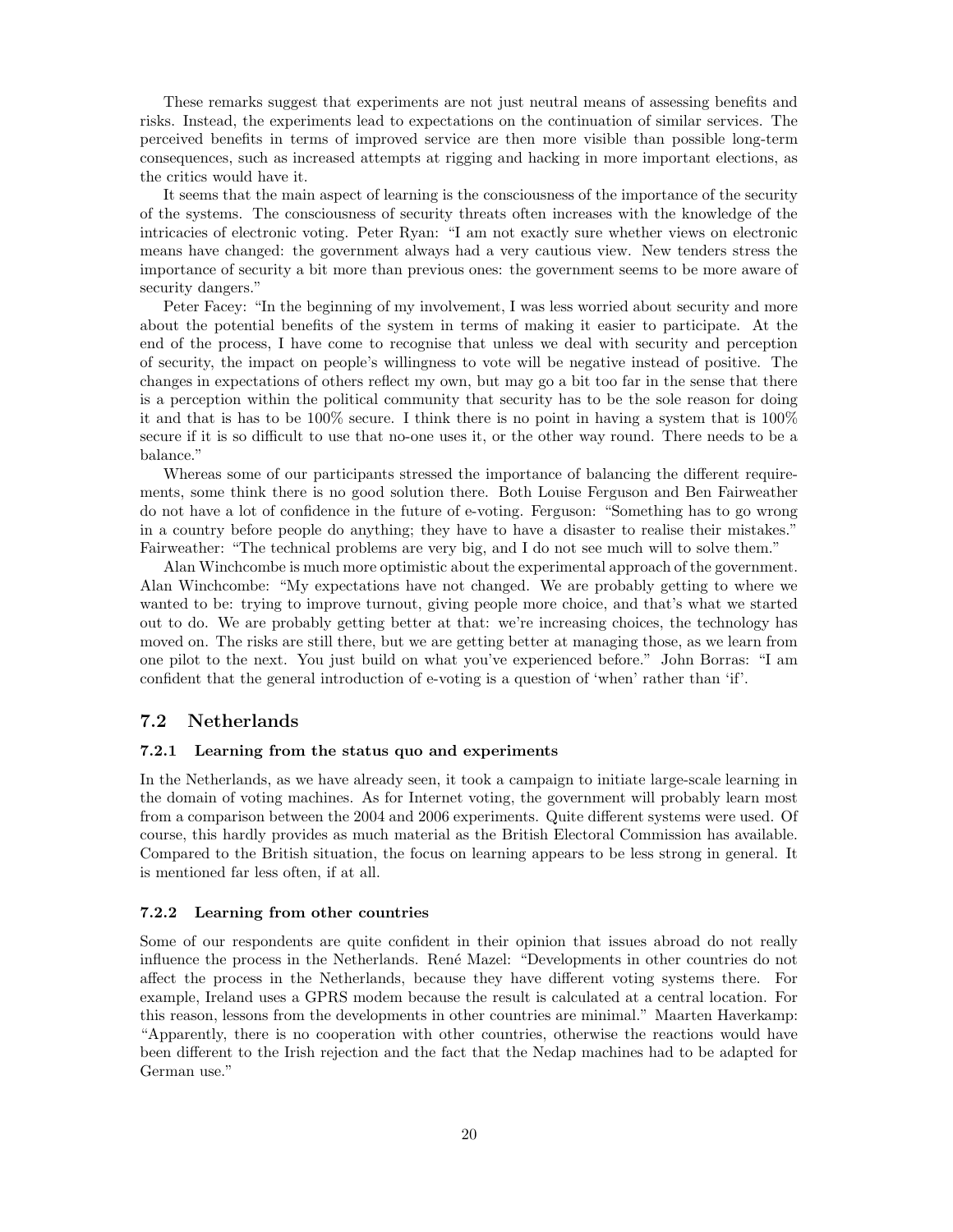These remarks suggest that experiments are not just neutral means of assessing benefits and risks. Instead, the experiments lead to expectations on the continuation of similar services. The perceived benefits in terms of improved service are then more visible than possible long-term consequences, such as increased attempts at rigging and hacking in more important elections, as the critics would have it.

It seems that the main aspect of learning is the consciousness of the importance of the security of the systems. The consciousness of security threats often increases with the knowledge of the intricacies of electronic voting. Peter Ryan: "I am not exactly sure whether views on electronic means have changed: the government always had a very cautious view. New tenders stress the importance of security a bit more than previous ones: the government seems to be more aware of security dangers."

Peter Facey: "In the beginning of my involvement, I was less worried about security and more about the potential benefits of the system in terms of making it easier to participate. At the end of the process, I have come to recognise that unless we deal with security and perception of security, the impact on people's willingness to vote will be negative instead of positive. The changes in expectations of others reflect my own, but may go a bit too far in the sense that there is a perception within the political community that security has to be the sole reason for doing it and that is has to be 100% secure. I think there is no point in having a system that is 100% secure if it is so difficult to use that no-one uses it, or the other way round. There needs to be a balance."

Whereas some of our participants stressed the importance of balancing the different requirements, some think there is no good solution there. Both Louise Ferguson and Ben Fairweather do not have a lot of confidence in the future of e-voting. Ferguson: "Something has to go wrong in a country before people do anything; they have to have a disaster to realise their mistakes." Fairweather: "The technical problems are very big, and I do not see much will to solve them."

Alan Winchcombe is much more optimistic about the experimental approach of the government. Alan Winchcombe: "My expectations have not changed. We are probably getting to where we wanted to be: trying to improve turnout, giving people more choice, and that's what we started out to do. We are probably getting better at that: we're increasing choices, the technology has moved on. The risks are still there, but we are getting better at managing those, as we learn from one pilot to the next. You just build on what you've experienced before." John Borras: "I am confident that the general introduction of e-voting is a question of 'when' rather than 'if'.

## 7.2 Netherlands

#### 7.2.1 Learning from the status quo and experiments

In the Netherlands, as we have already seen, it took a campaign to initiate large-scale learning in the domain of voting machines. As for Internet voting, the government will probably learn most from a comparison between the 2004 and 2006 experiments. Quite different systems were used. Of course, this hardly provides as much material as the British Electoral Commission has available. Compared to the British situation, the focus on learning appears to be less strong in general. It is mentioned far less often, if at all.

### 7.2.2 Learning from other countries

Some of our respondents are quite confident in their opinion that issues abroad do not really influence the process in the Netherlands. Ren´e Mazel: "Developments in other countries do not affect the process in the Netherlands, because they have different voting systems there. For example, Ireland uses a GPRS modem because the result is calculated at a central location. For this reason, lessons from the developments in other countries are minimal." Maarten Haverkamp: "Apparently, there is no cooperation with other countries, otherwise the reactions would have been different to the Irish rejection and the fact that the Nedap machines had to be adapted for German use."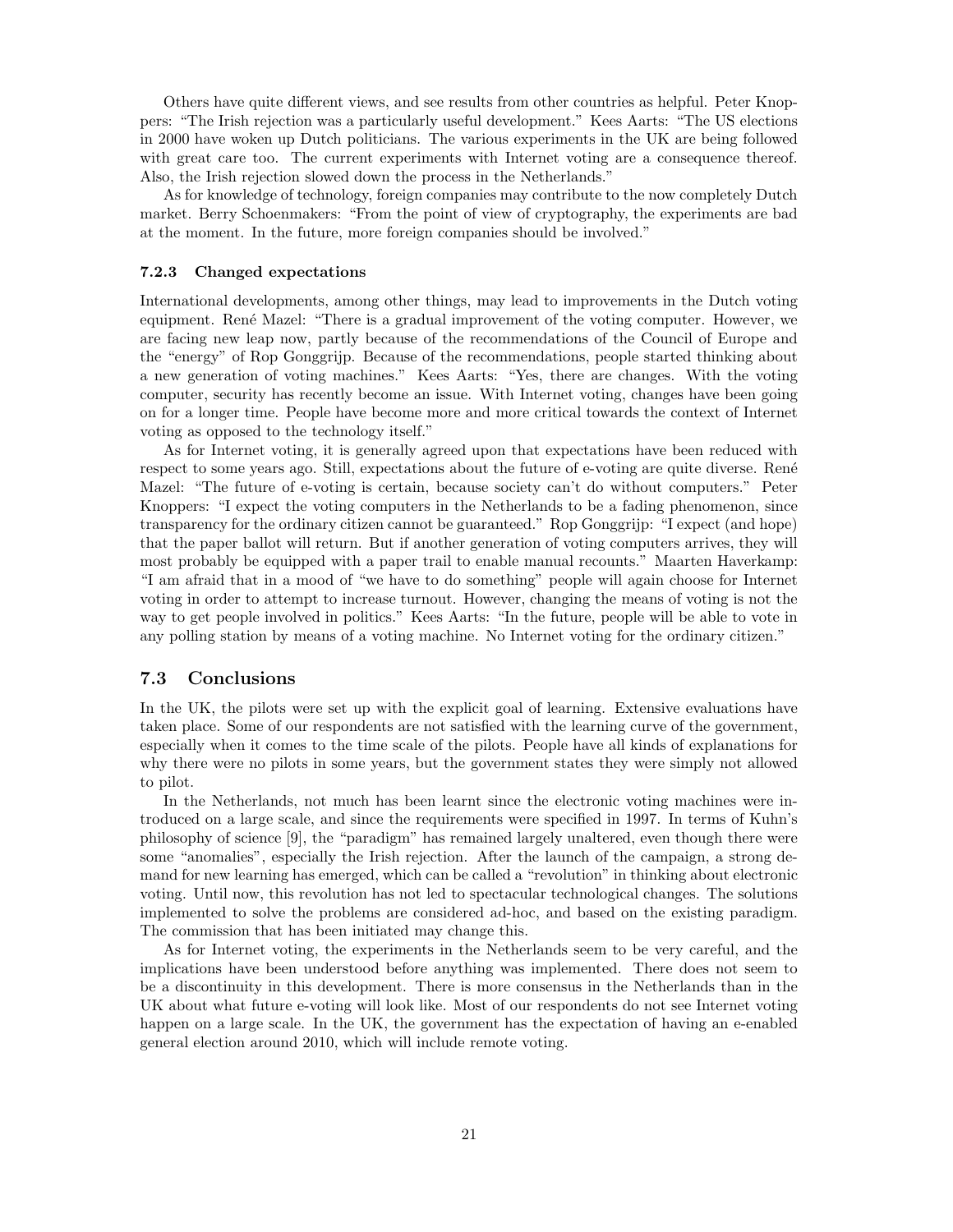Others have quite different views, and see results from other countries as helpful. Peter Knoppers: "The Irish rejection was a particularly useful development." Kees Aarts: "The US elections in 2000 have woken up Dutch politicians. The various experiments in the UK are being followed with great care too. The current experiments with Internet voting are a consequence thereof. Also, the Irish rejection slowed down the process in the Netherlands."

As for knowledge of technology, foreign companies may contribute to the now completely Dutch market. Berry Schoenmakers: "From the point of view of cryptography, the experiments are bad at the moment. In the future, more foreign companies should be involved."

#### 7.2.3 Changed expectations

International developments, among other things, may lead to improvements in the Dutch voting equipment. René Mazel: "There is a gradual improvement of the voting computer. However, we are facing new leap now, partly because of the recommendations of the Council of Europe and the "energy" of Rop Gonggrijp. Because of the recommendations, people started thinking about a new generation of voting machines." Kees Aarts: "Yes, there are changes. With the voting computer, security has recently become an issue. With Internet voting, changes have been going on for a longer time. People have become more and more critical towards the context of Internet voting as opposed to the technology itself."

As for Internet voting, it is generally agreed upon that expectations have been reduced with respect to some years ago. Still, expectations about the future of e-voting are quite diverse. René Mazel: "The future of e-voting is certain, because society can't do without computers." Peter Knoppers: "I expect the voting computers in the Netherlands to be a fading phenomenon, since transparency for the ordinary citizen cannot be guaranteed." Rop Gonggrijp: "I expect (and hope) that the paper ballot will return. But if another generation of voting computers arrives, they will most probably be equipped with a paper trail to enable manual recounts." Maarten Haverkamp: "I am afraid that in a mood of "we have to do something" people will again choose for Internet voting in order to attempt to increase turnout. However, changing the means of voting is not the way to get people involved in politics." Kees Aarts: "In the future, people will be able to vote in any polling station by means of a voting machine. No Internet voting for the ordinary citizen."

## 7.3 Conclusions

In the UK, the pilots were set up with the explicit goal of learning. Extensive evaluations have taken place. Some of our respondents are not satisfied with the learning curve of the government, especially when it comes to the time scale of the pilots. People have all kinds of explanations for why there were no pilots in some years, but the government states they were simply not allowed to pilot.

In the Netherlands, not much has been learnt since the electronic voting machines were introduced on a large scale, and since the requirements were specified in 1997. In terms of Kuhn's philosophy of science [9], the "paradigm" has remained largely unaltered, even though there were some "anomalies", especially the Irish rejection. After the launch of the campaign, a strong demand for new learning has emerged, which can be called a "revolution" in thinking about electronic voting. Until now, this revolution has not led to spectacular technological changes. The solutions implemented to solve the problems are considered ad-hoc, and based on the existing paradigm. The commission that has been initiated may change this.

As for Internet voting, the experiments in the Netherlands seem to be very careful, and the implications have been understood before anything was implemented. There does not seem to be a discontinuity in this development. There is more consensus in the Netherlands than in the UK about what future e-voting will look like. Most of our respondents do not see Internet voting happen on a large scale. In the UK, the government has the expectation of having an e-enabled general election around 2010, which will include remote voting.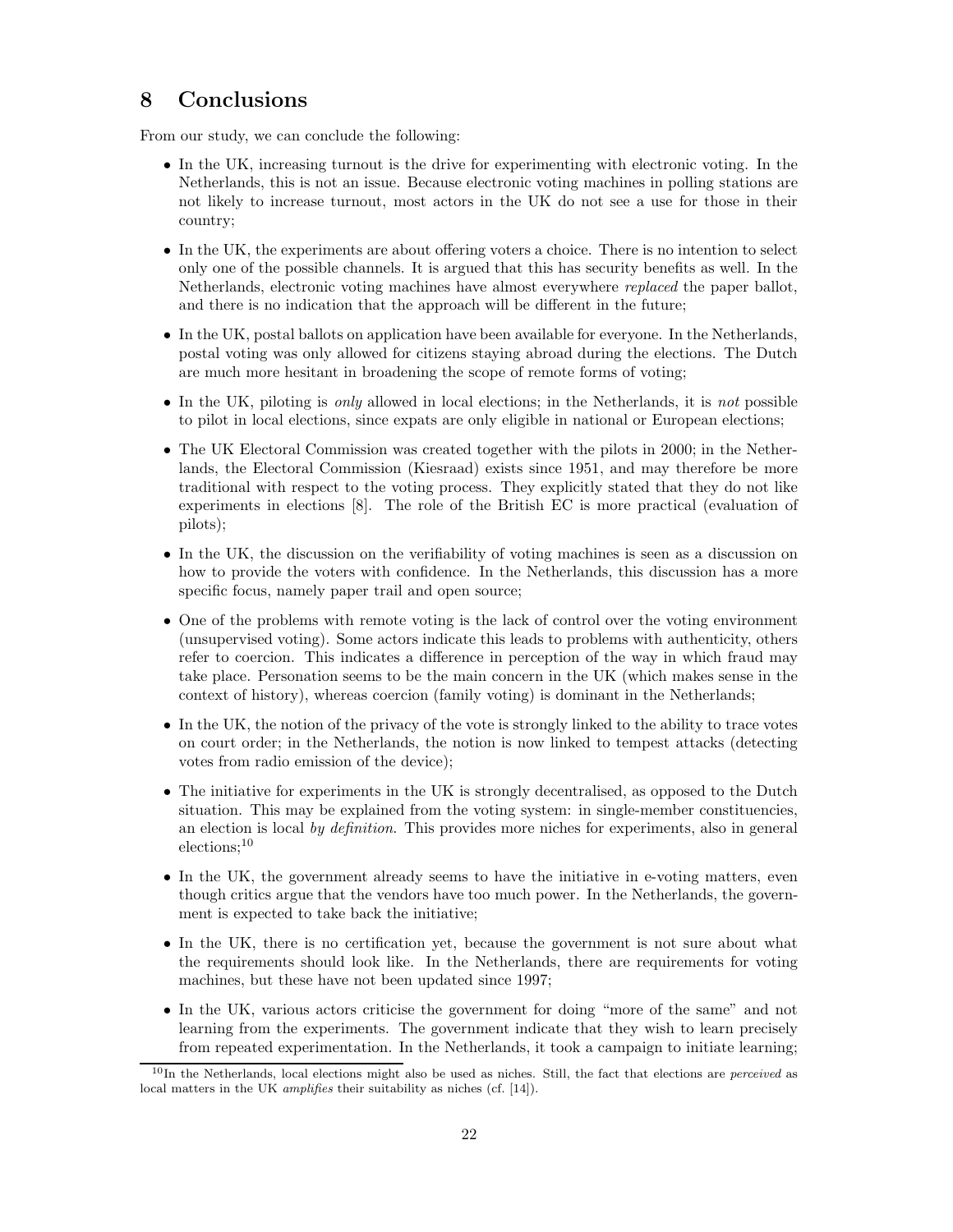## 8 Conclusions

From our study, we can conclude the following:

- In the UK, increasing turnout is the drive for experimenting with electronic voting. In the Netherlands, this is not an issue. Because electronic voting machines in polling stations are not likely to increase turnout, most actors in the UK do not see a use for those in their country;
- In the UK, the experiments are about offering voters a choice. There is no intention to select only one of the possible channels. It is argued that this has security benefits as well. In the Netherlands, electronic voting machines have almost everywhere replaced the paper ballot, and there is no indication that the approach will be different in the future;
- In the UK, postal ballots on application have been available for everyone. In the Netherlands, postal voting was only allowed for citizens staying abroad during the elections. The Dutch are much more hesitant in broadening the scope of remote forms of voting;
- In the UK, piloting is *only* allowed in local elections; in the Netherlands, it is *not* possible to pilot in local elections, since expats are only eligible in national or European elections;
- The UK Electoral Commission was created together with the pilots in 2000; in the Netherlands, the Electoral Commission (Kiesraad) exists since 1951, and may therefore be more traditional with respect to the voting process. They explicitly stated that they do not like experiments in elections [8]. The role of the British EC is more practical (evaluation of pilots);
- In the UK, the discussion on the verifiability of voting machines is seen as a discussion on how to provide the voters with confidence. In the Netherlands, this discussion has a more specific focus, namely paper trail and open source;
- One of the problems with remote voting is the lack of control over the voting environment (unsupervised voting). Some actors indicate this leads to problems with authenticity, others refer to coercion. This indicates a difference in perception of the way in which fraud may take place. Personation seems to be the main concern in the UK (which makes sense in the context of history), whereas coercion (family voting) is dominant in the Netherlands;
- In the UK, the notion of the privacy of the vote is strongly linked to the ability to trace votes on court order; in the Netherlands, the notion is now linked to tempest attacks (detecting votes from radio emission of the device);
- The initiative for experiments in the UK is strongly decentralised, as opposed to the Dutch situation. This may be explained from the voting system: in single-member constituencies, an election is local by definition. This provides more niches for experiments, also in general elections;<sup>10</sup>
- In the UK, the government already seems to have the initiative in e-voting matters, even though critics argue that the vendors have too much power. In the Netherlands, the government is expected to take back the initiative;
- In the UK, there is no certification yet, because the government is not sure about what the requirements should look like. In the Netherlands, there are requirements for voting machines, but these have not been updated since 1997;
- In the UK, various actors criticise the government for doing "more of the same" and not learning from the experiments. The government indicate that they wish to learn precisely from repeated experimentation. In the Netherlands, it took a campaign to initiate learning;

<sup>&</sup>lt;sup>10</sup>In the Netherlands, local elections might also be used as niches. Still, the fact that elections are *perceived* as local matters in the UK *amplifies* their suitability as niches (cf. [14]).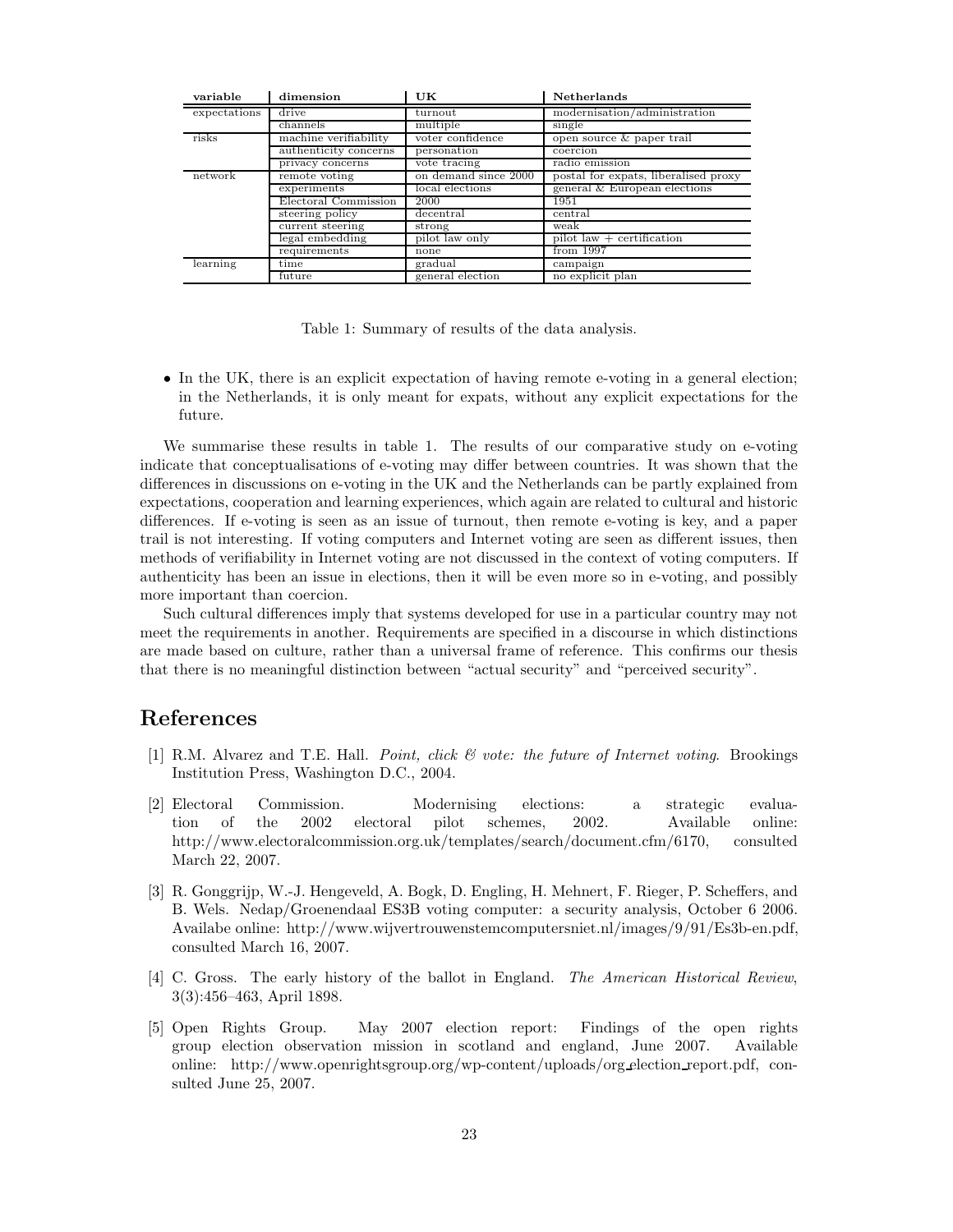| variable     | dimension             | UK                   | <b>Netherlands</b>                            |
|--------------|-----------------------|----------------------|-----------------------------------------------|
| expectations | drive                 | turnout              | modernisation/administration                  |
|              | channels              | multiple             | single                                        |
| risks        | machine verifiability | voter confidence     | open source & paper trail                     |
|              | authenticity concerns | personation          | coercion                                      |
|              | privacy concerns      | vote tracing         | radio emission                                |
| network      | remote voting         | on demand since 2000 | postal for expats, liberalised proxy          |
|              | experiments           | local elections      | general & European elections                  |
|              | Electoral Commission  | 2000                 | 1951                                          |
|              | steering policy       | decentral            | central                                       |
|              | current steering      | strong               | weak                                          |
|              | legal embedding       | pilot law only       | pilot $\overline{\text{law}}$ + certification |
|              | requirements          | none                 | from 1997                                     |
| learning     | time                  | gradual              | campaign                                      |
|              | future                | general election     | no explicit plan                              |

Table 1: Summary of results of the data analysis.

• In the UK, there is an explicit expectation of having remote e-voting in a general election; in the Netherlands, it is only meant for expats, without any explicit expectations for the future.

We summarise these results in table 1. The results of our comparative study on e-voting indicate that conceptualisations of e-voting may differ between countries. It was shown that the differences in discussions on e-voting in the UK and the Netherlands can be partly explained from expectations, cooperation and learning experiences, which again are related to cultural and historic differences. If e-voting is seen as an issue of turnout, then remote e-voting is key, and a paper trail is not interesting. If voting computers and Internet voting are seen as different issues, then methods of verifiability in Internet voting are not discussed in the context of voting computers. If authenticity has been an issue in elections, then it will be even more so in e-voting, and possibly more important than coercion.

Such cultural differences imply that systems developed for use in a particular country may not meet the requirements in another. Requirements are specified in a discourse in which distinctions are made based on culture, rather than a universal frame of reference. This confirms our thesis that there is no meaningful distinction between "actual security" and "perceived security".

## References

- [1] R.M. Alvarez and T.E. Hall. Point, click & vote: the future of Internet voting. Brookings Institution Press, Washington D.C., 2004.
- [2] Electoral Commission. Modernising elections: a strategic evaluation of the 2002 electoral pilot schemes, 2002. Available online: http://www.electoralcommission.org.uk/templates/search/document.cfm/6170, consulted March 22, 2007.
- [3] R. Gonggrijp, W.-J. Hengeveld, A. Bogk, D. Engling, H. Mehnert, F. Rieger, P. Scheffers, and B. Wels. Nedap/Groenendaal ES3B voting computer: a security analysis, October 6 2006. Availabe online: http://www.wijvertrouwenstemcomputersniet.nl/images/9/91/Es3b-en.pdf, consulted March 16, 2007.
- [4] C. Gross. The early history of the ballot in England. The American Historical Review, 3(3):456–463, April 1898.
- [5] Open Rights Group. May 2007 election report: Findings of the open rights group election observation mission in scotland and england, June 2007. Available online: http://www.openrightsgroup.org/wp-content/uploads/org election report.pdf, consulted June 25, 2007.